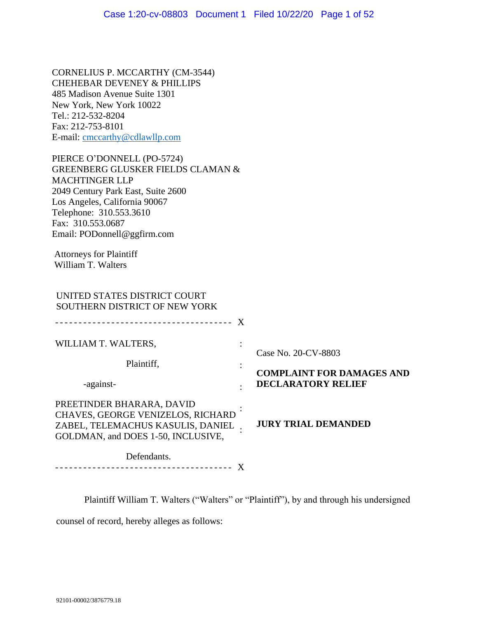CORNELIUS P. MCCARTHY (CM-3544) CHEHEBAR DEVENEY & PHILLIPS 485 Madison Avenue Suite 1301 New York, New York 10022 Tel.: 212-532-8204 Fax: 212-753-8101 E-mail: [cmccarthy@cdlawllp.com](mailto:cmccarthy@cdlawllp.com)

PIERCE O'DONNELL (PO-5724) GREENBERG GLUSKER FIELDS CLAMAN & MACHTINGER LLP 2049 Century Park East, Suite 2600 Los Angeles, California 90067 Telephone: 310.553.3610 Fax: 310.553.0687 Email: PODonnell@ggfirm.com

Attorneys for Plaintiff William T. Walters

# UNITED STATES DISTRICT COURT SOUTHERN DISTRICT OF NEW YORK

| WILLIAM T. WALTERS,                                                                                                                       |  | Case No. 20-CV-8803<br><b>COMPLAINT FOR DAMAGES AND</b><br><b>DECLARATORY RELIEF</b> |
|-------------------------------------------------------------------------------------------------------------------------------------------|--|--------------------------------------------------------------------------------------|
| Plaintiff,                                                                                                                                |  |                                                                                      |
| -against-                                                                                                                                 |  |                                                                                      |
| PREETINDER BHARARA, DAVID<br>CHAVES, GEORGE VENIZELOS, RICHARD<br>ZABEL, TELEMACHUS KASULIS, DANIEL<br>GOLDMAN, and DOES 1-50, INCLUSIVE, |  | <b>JURY TRIAL DEMANDED</b>                                                           |
| Defendants                                                                                                                                |  |                                                                                      |

Defendants. -------------------------------------- X

Plaintiff William T. Walters ("Walters" or "Plaintiff"), by and through his undersigned

counsel of record, hereby alleges as follows: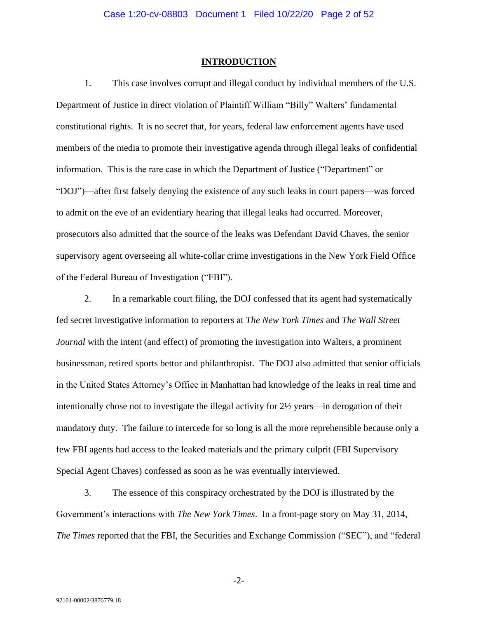#### **INTRODUCTION**

1. This case involves corrupt and illegal conduct by individual members of the U.S. Department of Justice in direct violation of Plaintiff William "Billy" Walters' fundamental constitutional rights. It is no secret that, for years, federal law enforcement agents have used members of the media to promote their investigative agenda through illegal leaks of confidential information. This is the rare case in which the Department of Justice ("Department" or "DOJ")—after first falsely denying the existence of any such leaks in court papers—was forced to admit on the eve of an evidentiary hearing that illegal leaks had occurred. Moreover, prosecutors also admitted that the source of the leaks was Defendant David Chaves, the senior supervisory agent overseeing all white-collar crime investigations in the New York Field Office of the Federal Bureau of Investigation ("FBI").

2. In a remarkable court filing, the DOJ confessed that its agent had systematically fed secret investigative information to reporters at *The New York Times* and *The Wall Street Journal* with the intent (and effect) of promoting the investigation into Walters, a prominent businessman, retired sports bettor and philanthropist. The DOJ also admitted that senior officials in the United States Attorney's Office in Manhattan had knowledge of the leaks in real time and intentionally chose not to investigate the illegal activity for 2½ years—in derogation of their mandatory duty. The failure to intercede for so long is all the more reprehensible because only a few FBI agents had access to the leaked materials and the primary culprit (FBI Supervisory Special Agent Chaves) confessed as soon as he was eventually interviewed.

3. The essence of this conspiracy orchestrated by the DOJ is illustrated by the Government's interactions with *The New York Times*. In a front-page story on May 31, 2014, *The Times* reported that the FBI, the Securities and Exchange Commission ("SEC"), and "federal

-2-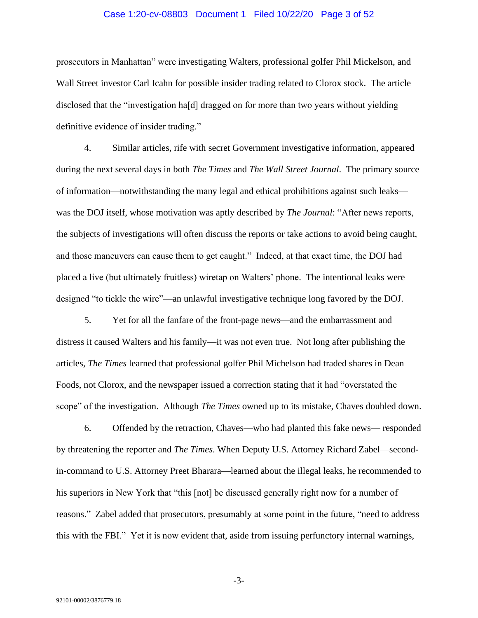#### Case 1:20-cv-08803 Document 1 Filed 10/22/20 Page 3 of 52

prosecutors in Manhattan" were investigating Walters, professional golfer Phil Mickelson, and Wall Street investor Carl Icahn for possible insider trading related to Clorox stock. The article disclosed that the "investigation ha[d] dragged on for more than two years without yielding definitive evidence of insider trading."

4. Similar articles, rife with secret Government investigative information, appeared during the next several days in both *The Times* and *The Wall Street Journal*. The primary source of information—notwithstanding the many legal and ethical prohibitions against such leaks was the DOJ itself, whose motivation was aptly described by *The Journal*: "After news reports, the subjects of investigations will often discuss the reports or take actions to avoid being caught, and those maneuvers can cause them to get caught." Indeed, at that exact time, the DOJ had placed a live (but ultimately fruitless) wiretap on Walters' phone. The intentional leaks were designed "to tickle the wire"—an unlawful investigative technique long favored by the DOJ.

5. Yet for all the fanfare of the front-page news—and the embarrassment and distress it caused Walters and his family—it was not even true. Not long after publishing the articles, *The Times* learned that professional golfer Phil Michelson had traded shares in Dean Foods, not Clorox, and the newspaper issued a correction stating that it had "overstated the scope" of the investigation. Although *The Times* owned up to its mistake, Chaves doubled down.

6. Offended by the retraction, Chaves—who had planted this fake news— responded by threatening the reporter and *The Times*. When Deputy U.S. Attorney Richard Zabel—secondin-command to U.S. Attorney Preet Bharara—learned about the illegal leaks, he recommended to his superiors in New York that "this [not] be discussed generally right now for a number of reasons." Zabel added that prosecutors, presumably at some point in the future, "need to address this with the FBI." Yet it is now evident that, aside from issuing perfunctory internal warnings,

-3-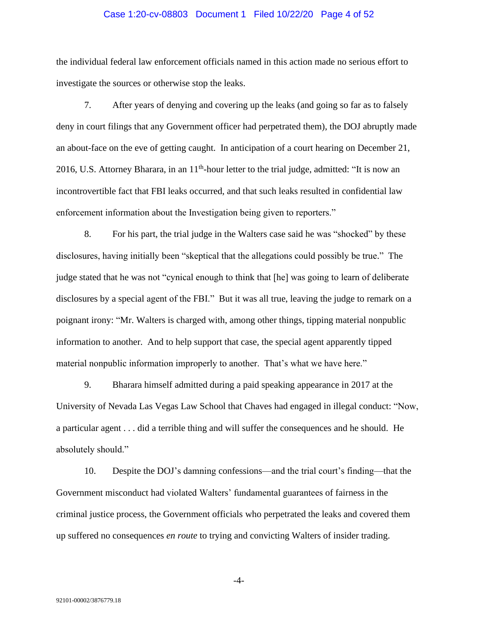#### Case 1:20-cv-08803 Document 1 Filed 10/22/20 Page 4 of 52

the individual federal law enforcement officials named in this action made no serious effort to investigate the sources or otherwise stop the leaks.

7. After years of denying and covering up the leaks (and going so far as to falsely deny in court filings that any Government officer had perpetrated them), the DOJ abruptly made an about-face on the eve of getting caught. In anticipation of a court hearing on December 21, 2016, U.S. Attorney Bharara, in an  $11<sup>th</sup>$ -hour letter to the trial judge, admitted: "It is now an incontrovertible fact that FBI leaks occurred, and that such leaks resulted in confidential law enforcement information about the Investigation being given to reporters."

8. For his part, the trial judge in the Walters case said he was "shocked" by these disclosures, having initially been "skeptical that the allegations could possibly be true." The judge stated that he was not "cynical enough to think that [he] was going to learn of deliberate disclosures by a special agent of the FBI." But it was all true, leaving the judge to remark on a poignant irony: "Mr. Walters is charged with, among other things, tipping material nonpublic information to another. And to help support that case, the special agent apparently tipped material nonpublic information improperly to another. That's what we have here."

9. Bharara himself admitted during a paid speaking appearance in 2017 at the University of Nevada Las Vegas Law School that Chaves had engaged in illegal conduct: "Now, a particular agent . . . did a terrible thing and will suffer the consequences and he should. He absolutely should."

10. Despite the DOJ's damning confessions—and the trial court's finding—that the Government misconduct had violated Walters' fundamental guarantees of fairness in the criminal justice process, the Government officials who perpetrated the leaks and covered them up suffered no consequences *en route* to trying and convicting Walters of insider trading.

-4-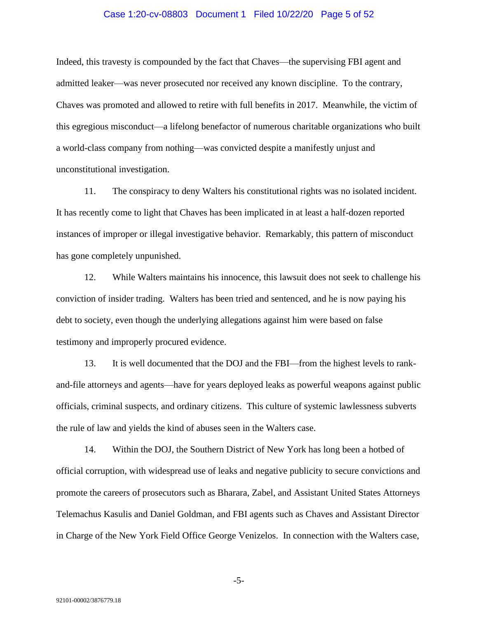#### Case 1:20-cv-08803 Document 1 Filed 10/22/20 Page 5 of 52

Indeed, this travesty is compounded by the fact that Chaves—the supervising FBI agent and admitted leaker—was never prosecuted nor received any known discipline. To the contrary, Chaves was promoted and allowed to retire with full benefits in 2017. Meanwhile, the victim of this egregious misconduct—a lifelong benefactor of numerous charitable organizations who built a world-class company from nothing—was convicted despite a manifestly unjust and unconstitutional investigation.

11. The conspiracy to deny Walters his constitutional rights was no isolated incident. It has recently come to light that Chaves has been implicated in at least a half-dozen reported instances of improper or illegal investigative behavior. Remarkably, this pattern of misconduct has gone completely unpunished.

12. While Walters maintains his innocence, this lawsuit does not seek to challenge his conviction of insider trading. Walters has been tried and sentenced, and he is now paying his debt to society, even though the underlying allegations against him were based on false testimony and improperly procured evidence.

13. It is well documented that the DOJ and the FBI—from the highest levels to rankand-file attorneys and agents—have for years deployed leaks as powerful weapons against public officials, criminal suspects, and ordinary citizens. This culture of systemic lawlessness subverts the rule of law and yields the kind of abuses seen in the Walters case.

14. Within the DOJ, the Southern District of New York has long been a hotbed of official corruption, with widespread use of leaks and negative publicity to secure convictions and promote the careers of prosecutors such as Bharara, Zabel, and Assistant United States Attorneys Telemachus Kasulis and Daniel Goldman, and FBI agents such as Chaves and Assistant Director in Charge of the New York Field Office George Venizelos. In connection with the Walters case,

-5-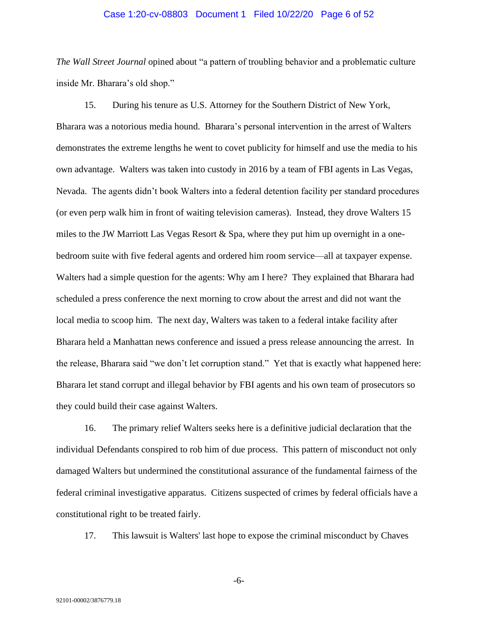#### Case 1:20-cv-08803 Document 1 Filed 10/22/20 Page 6 of 52

*The Wall Street Journal* opined about "a pattern of troubling behavior and a problematic culture inside Mr. Bharara's old shop."

15. During his tenure as U.S. Attorney for the Southern District of New York, Bharara was a notorious media hound. Bharara's personal intervention in the arrest of Walters demonstrates the extreme lengths he went to covet publicity for himself and use the media to his own advantage. Walters was taken into custody in 2016 by a team of FBI agents in Las Vegas, Nevada. The agents didn't book Walters into a federal detention facility per standard procedures (or even perp walk him in front of waiting television cameras). Instead, they drove Walters 15 miles to the JW Marriott Las Vegas Resort  $\&$  Spa, where they put him up overnight in a onebedroom suite with five federal agents and ordered him room service—all at taxpayer expense. Walters had a simple question for the agents: Why am I here? They explained that Bharara had scheduled a press conference the next morning to crow about the arrest and did not want the local media to scoop him. The next day, Walters was taken to a federal intake facility after Bharara held a Manhattan news conference and issued a press release announcing the arrest. In the release, Bharara said "we don't let corruption stand." Yet that is exactly what happened here: Bharara let stand corrupt and illegal behavior by FBI agents and his own team of prosecutors so they could build their case against Walters.

16. The primary relief Walters seeks here is a definitive judicial declaration that the individual Defendants conspired to rob him of due process. This pattern of misconduct not only damaged Walters but undermined the constitutional assurance of the fundamental fairness of the federal criminal investigative apparatus. Citizens suspected of crimes by federal officials have a constitutional right to be treated fairly.

17. This lawsuit is Walters' last hope to expose the criminal misconduct by Chaves

-6-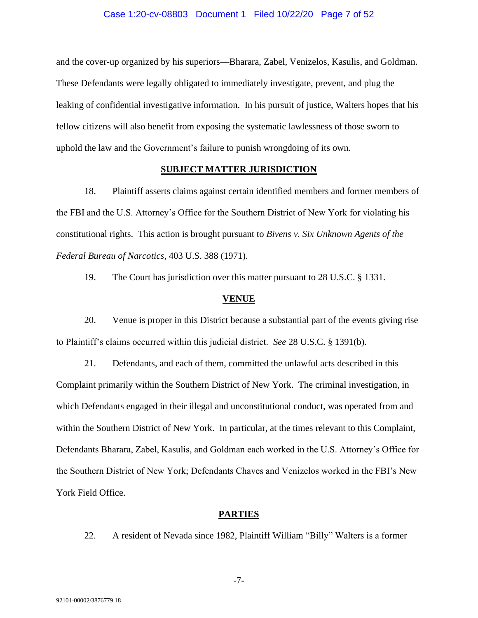#### Case 1:20-cv-08803 Document 1 Filed 10/22/20 Page 7 of 52

and the cover-up organized by his superiors—Bharara, Zabel, Venizelos, Kasulis, and Goldman. These Defendants were legally obligated to immediately investigate, prevent, and plug the leaking of confidential investigative information. In his pursuit of justice, Walters hopes that his fellow citizens will also benefit from exposing the systematic lawlessness of those sworn to uphold the law and the Government's failure to punish wrongdoing of its own.

# **SUBJECT MATTER JURISDICTION**

18. Plaintiff asserts claims against certain identified members and former members of the FBI and the U.S. Attorney's Office for the Southern District of New York for violating his constitutional rights. This action is brought pursuant to *Bivens v. Six Unknown Agents of the Federal Bureau of Narcotics*, 403 U.S. 388 (1971).

19. The Court has jurisdiction over this matter pursuant to 28 U.S.C. § 1331.

#### **VENUE**

20. Venue is proper in this District because a substantial part of the events giving rise to Plaintiff's claims occurred within this judicial district. *See* 28 U.S.C. § 1391(b).

21. Defendants, and each of them, committed the unlawful acts described in this Complaint primarily within the Southern District of New York. The criminal investigation, in which Defendants engaged in their illegal and unconstitutional conduct, was operated from and within the Southern District of New York. In particular, at the times relevant to this Complaint, Defendants Bharara, Zabel, Kasulis, and Goldman each worked in the U.S. Attorney's Office for the Southern District of New York; Defendants Chaves and Venizelos worked in the FBI's New York Field Office.

#### **PARTIES**

22. A resident of Nevada since 1982, Plaintiff William "Billy" Walters is a former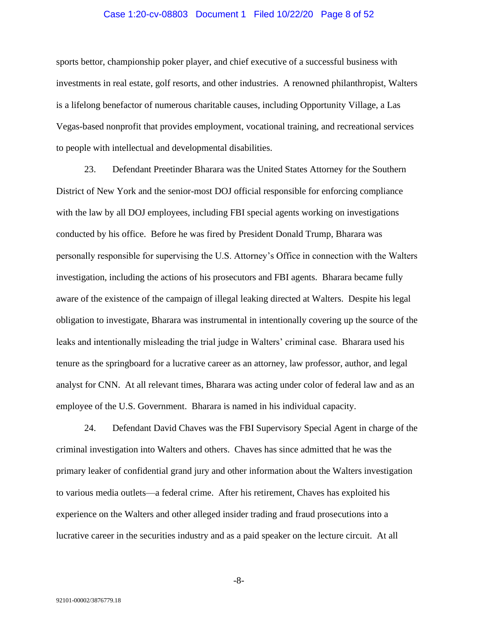#### Case 1:20-cv-08803 Document 1 Filed 10/22/20 Page 8 of 52

sports bettor, championship poker player, and chief executive of a successful business with investments in real estate, golf resorts, and other industries. A renowned philanthropist, Walters is a lifelong benefactor of numerous charitable causes, including Opportunity Village, a Las Vegas-based nonprofit that provides employment, vocational training, and recreational services to people with intellectual and developmental disabilities.

23. Defendant Preetinder Bharara was the United States Attorney for the Southern District of New York and the senior-most DOJ official responsible for enforcing compliance with the law by all DOJ employees, including FBI special agents working on investigations conducted by his office. Before he was fired by President Donald Trump, Bharara was personally responsible for supervising the U.S. Attorney's Office in connection with the Walters investigation, including the actions of his prosecutors and FBI agents. Bharara became fully aware of the existence of the campaign of illegal leaking directed at Walters. Despite his legal obligation to investigate, Bharara was instrumental in intentionally covering up the source of the leaks and intentionally misleading the trial judge in Walters' criminal case. Bharara used his tenure as the springboard for a lucrative career as an attorney, law professor, author, and legal analyst for CNN. At all relevant times, Bharara was acting under color of federal law and as an employee of the U.S. Government. Bharara is named in his individual capacity.

24. Defendant David Chaves was the FBI Supervisory Special Agent in charge of the criminal investigation into Walters and others. Chaves has since admitted that he was the primary leaker of confidential grand jury and other information about the Walters investigation to various media outlets—a federal crime. After his retirement, Chaves has exploited his experience on the Walters and other alleged insider trading and fraud prosecutions into a lucrative career in the securities industry and as a paid speaker on the lecture circuit. At all

-8-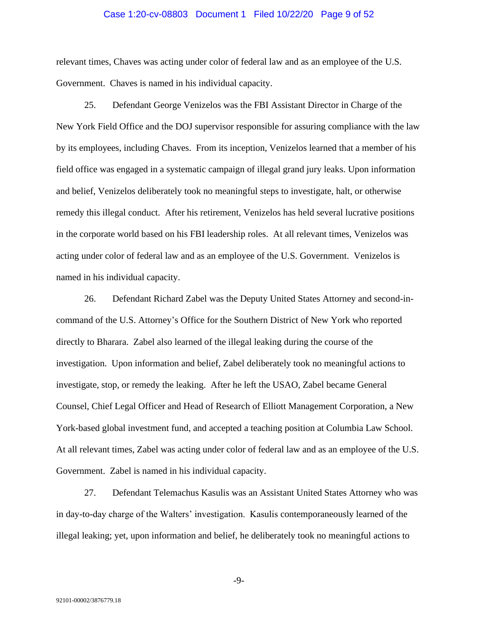#### Case 1:20-cv-08803 Document 1 Filed 10/22/20 Page 9 of 52

relevant times, Chaves was acting under color of federal law and as an employee of the U.S. Government. Chaves is named in his individual capacity.

25. Defendant George Venizelos was the FBI Assistant Director in Charge of the New York Field Office and the DOJ supervisor responsible for assuring compliance with the law by its employees, including Chaves. From its inception, Venizelos learned that a member of his field office was engaged in a systematic campaign of illegal grand jury leaks. Upon information and belief, Venizelos deliberately took no meaningful steps to investigate, halt, or otherwise remedy this illegal conduct. After his retirement, Venizelos has held several lucrative positions in the corporate world based on his FBI leadership roles. At all relevant times, Venizelos was acting under color of federal law and as an employee of the U.S. Government. Venizelos is named in his individual capacity.

26. Defendant Richard Zabel was the Deputy United States Attorney and second-incommand of the U.S. Attorney's Office for the Southern District of New York who reported directly to Bharara. Zabel also learned of the illegal leaking during the course of the investigation. Upon information and belief, Zabel deliberately took no meaningful actions to investigate, stop, or remedy the leaking. After he left the USAO, Zabel became General Counsel, Chief Legal Officer and Head of Research of Elliott Management Corporation, a New York-based global investment fund, and accepted a teaching position at Columbia Law School. At all relevant times, Zabel was acting under color of federal law and as an employee of the U.S. Government. Zabel is named in his individual capacity.

27. Defendant Telemachus Kasulis was an Assistant United States Attorney who was in day-to-day charge of the Walters' investigation. Kasulis contemporaneously learned of the illegal leaking; yet, upon information and belief, he deliberately took no meaningful actions to

-9-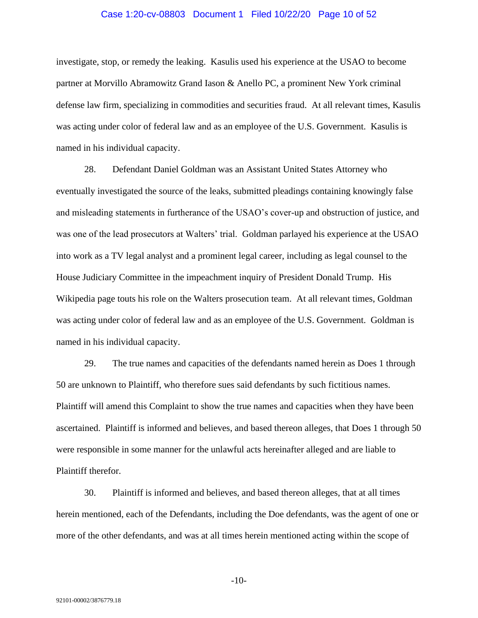#### Case 1:20-cv-08803 Document 1 Filed 10/22/20 Page 10 of 52

investigate, stop, or remedy the leaking. Kasulis used his experience at the USAO to become partner at Morvillo Abramowitz Grand Iason & Anello PC, a prominent New York criminal defense law firm, specializing in commodities and securities fraud. At all relevant times, Kasulis was acting under color of federal law and as an employee of the U.S. Government. Kasulis is named in his individual capacity.

28. Defendant Daniel Goldman was an Assistant United States Attorney who eventually investigated the source of the leaks, submitted pleadings containing knowingly false and misleading statements in furtherance of the USAO's cover-up and obstruction of justice, and was one of the lead prosecutors at Walters' trial. Goldman parlayed his experience at the USAO into work as a TV legal analyst and a prominent legal career, including as legal counsel to the House Judiciary Committee in the impeachment inquiry of President Donald Trump. His Wikipedia page touts his role on the Walters prosecution team. At all relevant times, Goldman was acting under color of federal law and as an employee of the U.S. Government. Goldman is named in his individual capacity.

29. The true names and capacities of the defendants named herein as Does 1 through 50 are unknown to Plaintiff, who therefore sues said defendants by such fictitious names. Plaintiff will amend this Complaint to show the true names and capacities when they have been ascertained. Plaintiff is informed and believes, and based thereon alleges, that Does 1 through 50 were responsible in some manner for the unlawful acts hereinafter alleged and are liable to Plaintiff therefor.

30. Plaintiff is informed and believes, and based thereon alleges, that at all times herein mentioned, each of the Defendants, including the Doe defendants, was the agent of one or more of the other defendants, and was at all times herein mentioned acting within the scope of

-10-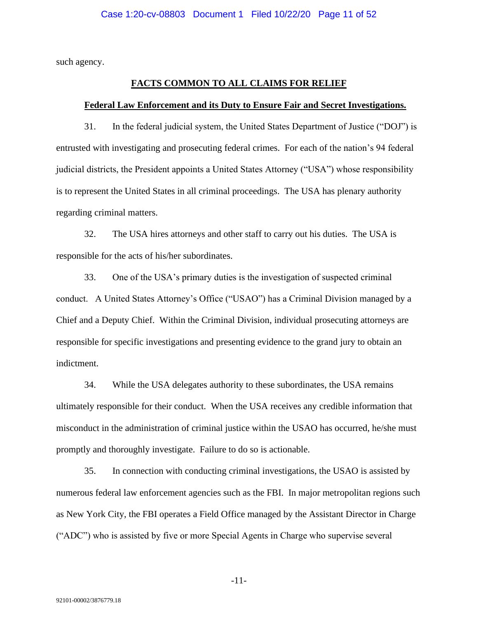such agency.

# **FACTS COMMON TO ALL CLAIMS FOR RELIEF**

#### **Federal Law Enforcement and its Duty to Ensure Fair and Secret Investigations.**

31. In the federal judicial system, the United States Department of Justice ("DOJ") is entrusted with investigating and prosecuting federal crimes. For each of the nation's 94 federal judicial districts, the President appoints a United States Attorney ("USA") whose responsibility is to represent the United States in all criminal proceedings. The USA has plenary authority regarding criminal matters.

32. The USA hires attorneys and other staff to carry out his duties. The USA is responsible for the acts of his/her subordinates.

33. One of the USA's primary duties is the investigation of suspected criminal conduct. A United States Attorney's Office ("USAO") has a Criminal Division managed by a Chief and a Deputy Chief. Within the Criminal Division, individual prosecuting attorneys are responsible for specific investigations and presenting evidence to the grand jury to obtain an indictment.

34. While the USA delegates authority to these subordinates, the USA remains ultimately responsible for their conduct. When the USA receives any credible information that misconduct in the administration of criminal justice within the USAO has occurred, he/she must promptly and thoroughly investigate. Failure to do so is actionable.

35. In connection with conducting criminal investigations, the USAO is assisted by numerous federal law enforcement agencies such as the FBI. In major metropolitan regions such as New York City, the FBI operates a Field Office managed by the Assistant Director in Charge ("ADC") who is assisted by five or more Special Agents in Charge who supervise several

-11-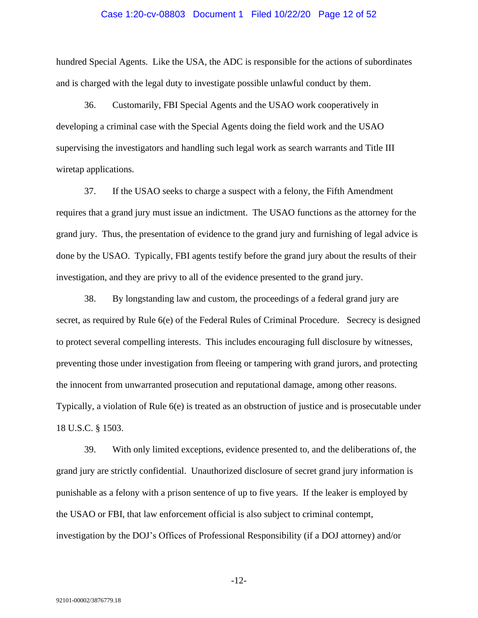#### Case 1:20-cv-08803 Document 1 Filed 10/22/20 Page 12 of 52

hundred Special Agents. Like the USA, the ADC is responsible for the actions of subordinates and is charged with the legal duty to investigate possible unlawful conduct by them.

36. Customarily, FBI Special Agents and the USAO work cooperatively in developing a criminal case with the Special Agents doing the field work and the USAO supervising the investigators and handling such legal work as search warrants and Title III wiretap applications.

37. If the USAO seeks to charge a suspect with a felony, the Fifth Amendment requires that a grand jury must issue an indictment. The USAO functions as the attorney for the grand jury. Thus, the presentation of evidence to the grand jury and furnishing of legal advice is done by the USAO. Typically, FBI agents testify before the grand jury about the results of their investigation, and they are privy to all of the evidence presented to the grand jury.

38. By longstanding law and custom, the proceedings of a federal grand jury are secret, as required by Rule 6(e) of the Federal Rules of Criminal Procedure. Secrecy is designed to protect several compelling interests. This includes encouraging full disclosure by witnesses, preventing those under investigation from fleeing or tampering with grand jurors, and protecting the innocent from unwarranted prosecution and reputational damage, among other reasons. Typically, a violation of Rule 6(e) is treated as an obstruction of justice and is prosecutable under 18 U.S.C. § 1503.

39. With only limited exceptions, evidence presented to, and the deliberations of, the grand jury are strictly confidential. Unauthorized disclosure of secret grand jury information is punishable as a felony with a prison sentence of up to five years. If the leaker is employed by the USAO or FBI, that law enforcement official is also subject to criminal contempt, investigation by the DOJ's Offices of Professional Responsibility (if a DOJ attorney) and/or

-12-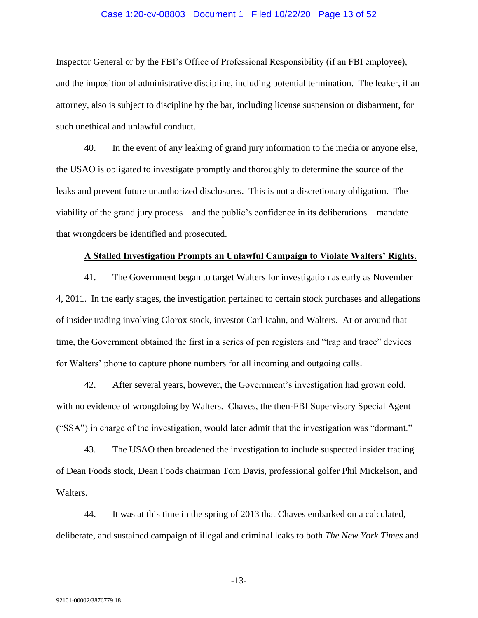#### Case 1:20-cv-08803 Document 1 Filed 10/22/20 Page 13 of 52

Inspector General or by the FBI's Office of Professional Responsibility (if an FBI employee), and the imposition of administrative discipline, including potential termination. The leaker, if an attorney, also is subject to discipline by the bar, including license suspension or disbarment, for such unethical and unlawful conduct.

40. In the event of any leaking of grand jury information to the media or anyone else, the USAO is obligated to investigate promptly and thoroughly to determine the source of the leaks and prevent future unauthorized disclosures. This is not a discretionary obligation. The viability of the grand jury process—and the public's confidence in its deliberations—mandate that wrongdoers be identified and prosecuted.

#### **A Stalled Investigation Prompts an Unlawful Campaign to Violate Walters' Rights.**

41. The Government began to target Walters for investigation as early as November 4, 2011. In the early stages, the investigation pertained to certain stock purchases and allegations of insider trading involving Clorox stock, investor Carl Icahn, and Walters. At or around that time, the Government obtained the first in a series of pen registers and "trap and trace" devices for Walters' phone to capture phone numbers for all incoming and outgoing calls.

42. After several years, however, the Government's investigation had grown cold, with no evidence of wrongdoing by Walters. Chaves, the then-FBI Supervisory Special Agent ("SSA") in charge of the investigation, would later admit that the investigation was "dormant."

43. The USAO then broadened the investigation to include suspected insider trading of Dean Foods stock, Dean Foods chairman Tom Davis, professional golfer Phil Mickelson, and Walters.

44. It was at this time in the spring of 2013 that Chaves embarked on a calculated, deliberate, and sustained campaign of illegal and criminal leaks to both *The New York Times* and

-13-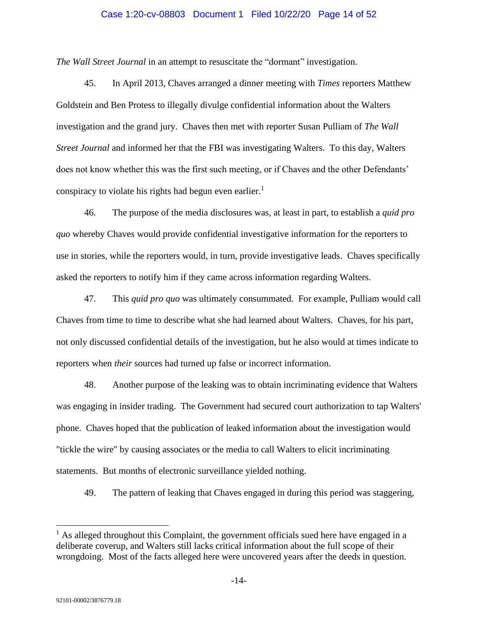## Case 1:20-cv-08803 Document 1 Filed 10/22/20 Page 14 of 52

*The Wall Street Journal* in an attempt to resuscitate the "dormant" investigation.

45. In April 2013, Chaves arranged a dinner meeting with *Times* reporters Matthew Goldstein and Ben Protess to illegally divulge confidential information about the Walters investigation and the grand jury. Chaves then met with reporter Susan Pulliam of *The Wall Street Journal* and informed her that the FBI was investigating Walters. To this day, Walters does not know whether this was the first such meeting, or if Chaves and the other Defendants' conspiracy to violate his rights had begun even earlier.<sup>1</sup>

46. The purpose of the media disclosures was, at least in part, to establish a *quid pro quo* whereby Chaves would provide confidential investigative information for the reporters to use in stories, while the reporters would, in turn, provide investigative leads. Chaves specifically asked the reporters to notify him if they came across information regarding Walters.

47. This *quid pro quo* was ultimately consummated. For example, Pulliam would call Chaves from time to time to describe what she had learned about Walters. Chaves, for his part, not only discussed confidential details of the investigation, but he also would at times indicate to reporters when *their* sources had turned up false or incorrect information.

48. Another purpose of the leaking was to obtain incriminating evidence that Walters was engaging in insider trading. The Government had secured court authorization to tap Walters' phone. Chaves hoped that the publication of leaked information about the investigation would "tickle the wire" by causing associates or the media to call Walters to elicit incriminating statements. But months of electronic surveillance yielded nothing.

49. The pattern of leaking that Chaves engaged in during this period was staggering,

<sup>&</sup>lt;sup>1</sup> As alleged throughout this Complaint, the government officials sued here have engaged in a deliberate coverup, and Walters still lacks critical information about the full scope of their wrongdoing. Most of the facts alleged here were uncovered years after the deeds in question.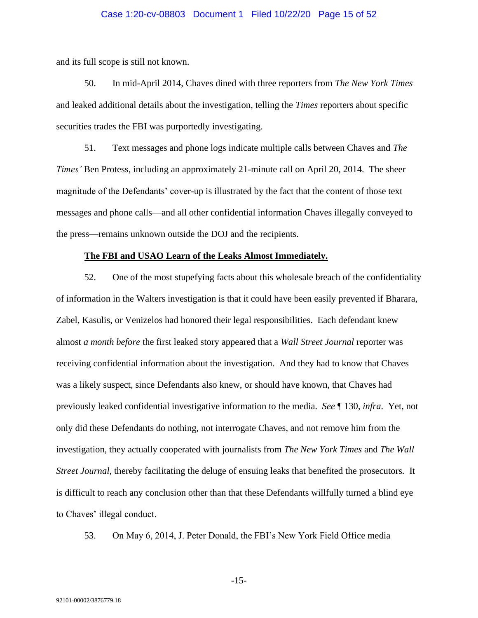# Case 1:20-cv-08803 Document 1 Filed 10/22/20 Page 15 of 52

and its full scope is still not known.

50. In mid-April 2014, Chaves dined with three reporters from *The New York Times* and leaked additional details about the investigation, telling the *Times* reporters about specific securities trades the FBI was purportedly investigating.

51. Text messages and phone logs indicate multiple calls between Chaves and *The Times'* Ben Protess, including an approximately 21-minute call on April 20, 2014. The sheer magnitude of the Defendants' cover-up is illustrated by the fact that the content of those text messages and phone calls—and all other confidential information Chaves illegally conveyed to the press—remains unknown outside the DOJ and the recipients.

#### **The FBI and USAO Learn of the Leaks Almost Immediately.**

52. One of the most stupefying facts about this wholesale breach of the confidentiality of information in the Walters investigation is that it could have been easily prevented if Bharara, Zabel, Kasulis, or Venizelos had honored their legal responsibilities. Each defendant knew almost *a month before* the first leaked story appeared that a *Wall Street Journal* reporter was receiving confidential information about the investigation. And they had to know that Chaves was a likely suspect, since Defendants also knew, or should have known, that Chaves had previously leaked confidential investigative information to the media. *See* ¶ 130, *infra*. Yet, not only did these Defendants do nothing, not interrogate Chaves, and not remove him from the investigation, they actually cooperated with journalists from *The New York Times* and *The Wall Street Journal*, thereby facilitating the deluge of ensuing leaks that benefited the prosecutors*.* It is difficult to reach any conclusion other than that these Defendants willfully turned a blind eye to Chaves' illegal conduct.

53. On May 6, 2014, J. Peter Donald, the FBI's New York Field Office media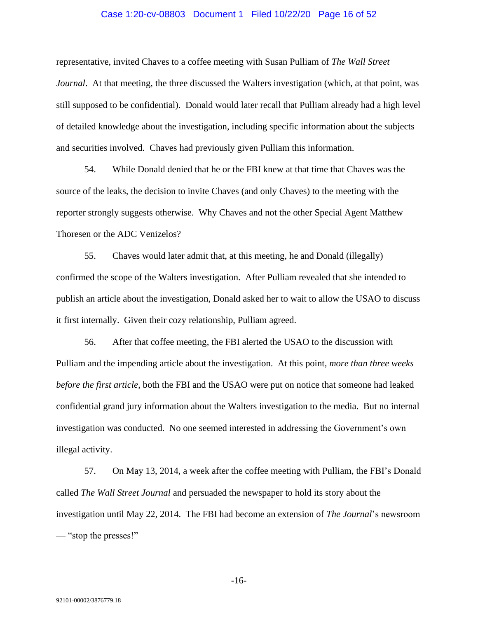## Case 1:20-cv-08803 Document 1 Filed 10/22/20 Page 16 of 52

representative, invited Chaves to a coffee meeting with Susan Pulliam of *The Wall Street Journal*. At that meeting, the three discussed the Walters investigation (which, at that point, was still supposed to be confidential). Donald would later recall that Pulliam already had a high level of detailed knowledge about the investigation, including specific information about the subjects and securities involved. Chaves had previously given Pulliam this information.

54. While Donald denied that he or the FBI knew at that time that Chaves was the source of the leaks, the decision to invite Chaves (and only Chaves) to the meeting with the reporter strongly suggests otherwise. Why Chaves and not the other Special Agent Matthew Thoresen or the ADC Venizelos?

55. Chaves would later admit that, at this meeting, he and Donald (illegally) confirmed the scope of the Walters investigation. After Pulliam revealed that she intended to publish an article about the investigation, Donald asked her to wait to allow the USAO to discuss it first internally. Given their cozy relationship, Pulliam agreed.

56. After that coffee meeting, the FBI alerted the USAO to the discussion with Pulliam and the impending article about the investigation. At this point, *more than three weeks before the first article*, both the FBI and the USAO were put on notice that someone had leaked confidential grand jury information about the Walters investigation to the media. But no internal investigation was conducted. No one seemed interested in addressing the Government's own illegal activity.

57. On May 13, 2014, a week after the coffee meeting with Pulliam, the FBI's Donald called *The Wall Street Journal* and persuaded the newspaper to hold its story about the investigation until May 22, 2014. The FBI had become an extension of *The Journal*'s newsroom — "stop the presses!"

-16-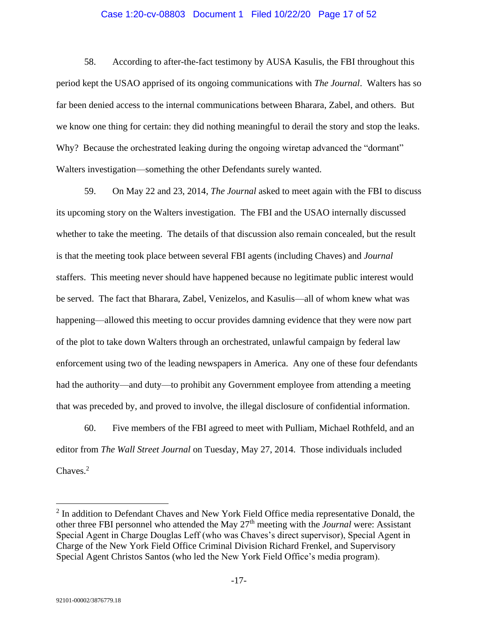## Case 1:20-cv-08803 Document 1 Filed 10/22/20 Page 17 of 52

58. According to after-the-fact testimony by AUSA Kasulis, the FBI throughout this period kept the USAO apprised of its ongoing communications with *The Journal*. Walters has so far been denied access to the internal communications between Bharara, Zabel, and others. But we know one thing for certain: they did nothing meaningful to derail the story and stop the leaks. Why? Because the orchestrated leaking during the ongoing wiretap advanced the "dormant" Walters investigation—something the other Defendants surely wanted.

59. On May 22 and 23, 2014, *The Journal* asked to meet again with the FBI to discuss its upcoming story on the Walters investigation. The FBI and the USAO internally discussed whether to take the meeting. The details of that discussion also remain concealed, but the result is that the meeting took place between several FBI agents (including Chaves) and *Journal*  staffers. This meeting never should have happened because no legitimate public interest would be served. The fact that Bharara, Zabel, Venizelos, and Kasulis—all of whom knew what was happening—allowed this meeting to occur provides damning evidence that they were now part of the plot to take down Walters through an orchestrated, unlawful campaign by federal law enforcement using two of the leading newspapers in America. Any one of these four defendants had the authority—and duty—to prohibit any Government employee from attending a meeting that was preceded by, and proved to involve, the illegal disclosure of confidential information.

60. Five members of the FBI agreed to meet with Pulliam, Michael Rothfeld, and an editor from *The Wall Street Journal* on Tuesday, May 27, 2014. Those individuals included Chaves. 2

<sup>&</sup>lt;sup>2</sup> In addition to Defendant Chaves and New York Field Office media representative Donald, the other three FBI personnel who attended the May 27th meeting with the *Journal* were: Assistant Special Agent in Charge Douglas Leff (who was Chaves's direct supervisor), Special Agent in Charge of the New York Field Office Criminal Division Richard Frenkel, and Supervisory Special Agent Christos Santos (who led the New York Field Office's media program).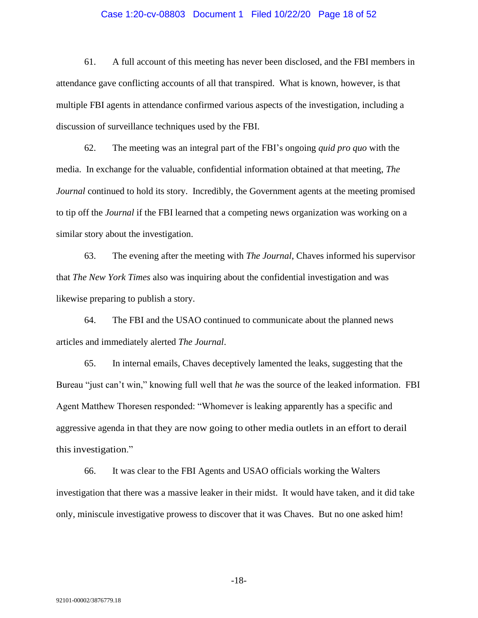# Case 1:20-cv-08803 Document 1 Filed 10/22/20 Page 18 of 52

61. A full account of this meeting has never been disclosed, and the FBI members in attendance gave conflicting accounts of all that transpired. What is known, however, is that multiple FBI agents in attendance confirmed various aspects of the investigation, including a discussion of surveillance techniques used by the FBI.

62. The meeting was an integral part of the FBI's ongoing *quid pro quo* with the media. In exchange for the valuable, confidential information obtained at that meeting, *The Journal* continued to hold its story. Incredibly, the Government agents at the meeting promised to tip off the *Journal* if the FBI learned that a competing news organization was working on a similar story about the investigation.

63. The evening after the meeting with *The Journal*, Chaves informed his supervisor that *The New York Times* also was inquiring about the confidential investigation and was likewise preparing to publish a story.

64. The FBI and the USAO continued to communicate about the planned news articles and immediately alerted *The Journal*.

65. In internal emails, Chaves deceptively lamented the leaks, suggesting that the Bureau "just can't win," knowing full well that *he* was the source of the leaked information. FBI Agent Matthew Thoresen responded: "Whomever is leaking apparently has a specific and aggressive agenda in that they are now going to other media outlets in an effort to derail this investigation."

66. It was clear to the FBI Agents and USAO officials working the Walters investigation that there was a massive leaker in their midst. It would have taken, and it did take only, miniscule investigative prowess to discover that it was Chaves. But no one asked him!

-18-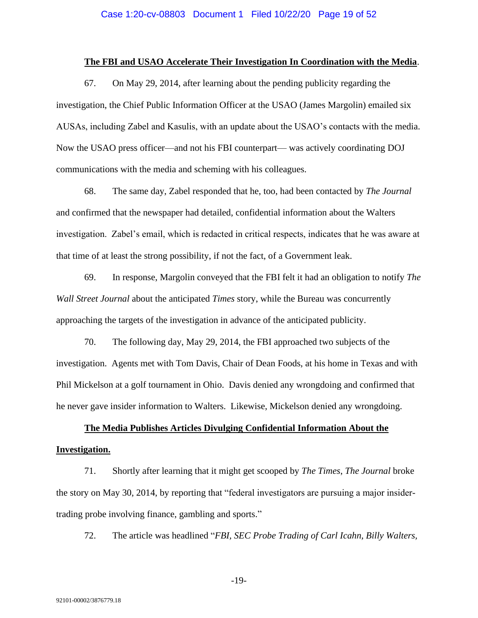## **The FBI and USAO Accelerate Their Investigation In Coordination with the Media**.

67. On May 29, 2014, after learning about the pending publicity regarding the investigation, the Chief Public Information Officer at the USAO (James Margolin) emailed six AUSAs, including Zabel and Kasulis, with an update about the USAO's contacts with the media. Now the USAO press officer—and not his FBI counterpart— was actively coordinating DOJ communications with the media and scheming with his colleagues.

68. The same day, Zabel responded that he, too, had been contacted by *The Journal* and confirmed that the newspaper had detailed, confidential information about the Walters investigation. Zabel's email, which is redacted in critical respects, indicates that he was aware at that time of at least the strong possibility, if not the fact, of a Government leak.

69. In response, Margolin conveyed that the FBI felt it had an obligation to notify *The Wall Street Journal* about the anticipated *Times* story, while the Bureau was concurrently approaching the targets of the investigation in advance of the anticipated publicity.

70. The following day, May 29, 2014, the FBI approached two subjects of the investigation. Agents met with Tom Davis, Chair of Dean Foods, at his home in Texas and with Phil Mickelson at a golf tournament in Ohio. Davis denied any wrongdoing and confirmed that he never gave insider information to Walters. Likewise, Mickelson denied any wrongdoing.

# **The Media Publishes Articles Divulging Confidential Information About the Investigation.**

71. Shortly after learning that it might get scooped by *The Times*, *The Journal* broke the story on May 30, 2014, by reporting that "federal investigators are pursuing a major insidertrading probe involving finance, gambling and sports."

72. The article was headlined "*FBI, SEC Probe Trading of Carl Icahn, Billy Walters,*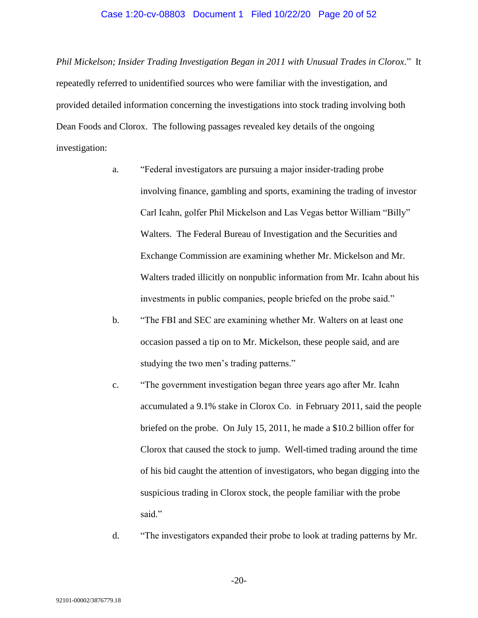#### Case 1:20-cv-08803 Document 1 Filed 10/22/20 Page 20 of 52

*Phil Mickelson; Insider Trading Investigation Began in 2011 with Unusual Trades in Clorox.*" It repeatedly referred to unidentified sources who were familiar with the investigation, and provided detailed information concerning the investigations into stock trading involving both Dean Foods and Clorox. The following passages revealed key details of the ongoing investigation:

- a. "Federal investigators are pursuing a major insider-trading probe involving finance, gambling and sports, examining the trading of investor Carl Icahn, golfer Phil Mickelson and Las Vegas bettor William "Billy" Walters. The Federal Bureau of Investigation and the Securities and Exchange Commission are examining whether Mr. Mickelson and Mr. Walters traded illicitly on nonpublic information from Mr. Icahn about his investments in public companies, people briefed on the probe said."
- b. "The FBI and SEC are examining whether Mr. Walters on at least one occasion passed a tip on to Mr. Mickelson, these people said, and are studying the two men's trading patterns."
- c. "The government investigation began three years ago after Mr. Icahn accumulated a 9.1% stake in Clorox Co. in February 2011, said the people briefed on the probe. On July 15, 2011, he made a \$10.2 billion offer for Clorox that caused the stock to jump. Well-timed trading around the time of his bid caught the attention of investigators, who began digging into the suspicious trading in Clorox stock, the people familiar with the probe said."
- d. "The investigators expanded their probe to look at trading patterns by Mr.

-20-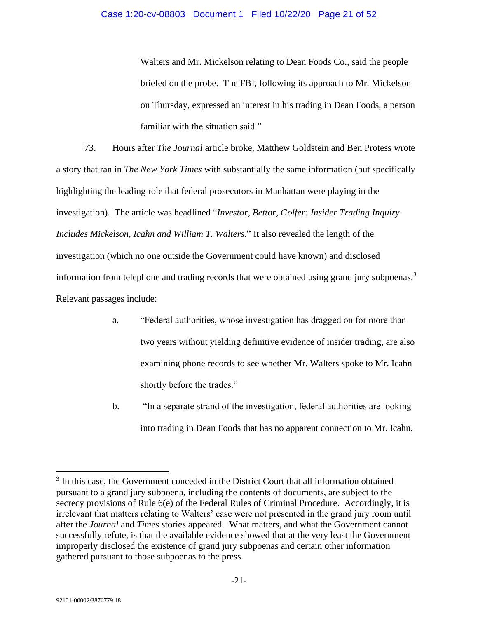Walters and Mr. Mickelson relating to Dean Foods Co., said the people briefed on the probe. The FBI, following its approach to Mr. Mickelson on Thursday, expressed an interest in his trading in Dean Foods, a person familiar with the situation said."

73. Hours after *The Journal* article broke, Matthew Goldstein and Ben Protess wrote a story that ran in *The New York Times* with substantially the same information (but specifically highlighting the leading role that federal prosecutors in Manhattan were playing in the investigation). The article was headlined "*Investor, Bettor, Golfer: Insider Trading Inquiry Includes Mickelson, Icahn and William T. Walters.*" It also revealed the length of the investigation (which no one outside the Government could have known) and disclosed information from telephone and trading records that were obtained using grand jury subpoenas.<sup>3</sup> Relevant passages include:

- a. "Federal authorities, whose investigation has dragged on for more than two years without yielding definitive evidence of insider trading, are also examining phone records to see whether Mr. Walters spoke to Mr. Icahn shortly before the trades."
- b. "In a separate strand of the investigation, federal authorities are looking into trading in Dean Foods that has no apparent connection to Mr. Icahn,

<sup>&</sup>lt;sup>3</sup> In this case, the Government conceded in the District Court that all information obtained pursuant to a grand jury subpoena, including the contents of documents, are subject to the secrecy provisions of Rule 6(e) of the Federal Rules of Criminal Procedure. Accordingly, it is irrelevant that matters relating to Walters' case were not presented in the grand jury room until after the *Journal* and *Times* stories appeared. What matters, and what the Government cannot successfully refute, is that the available evidence showed that at the very least the Government improperly disclosed the existence of grand jury subpoenas and certain other information gathered pursuant to those subpoenas to the press.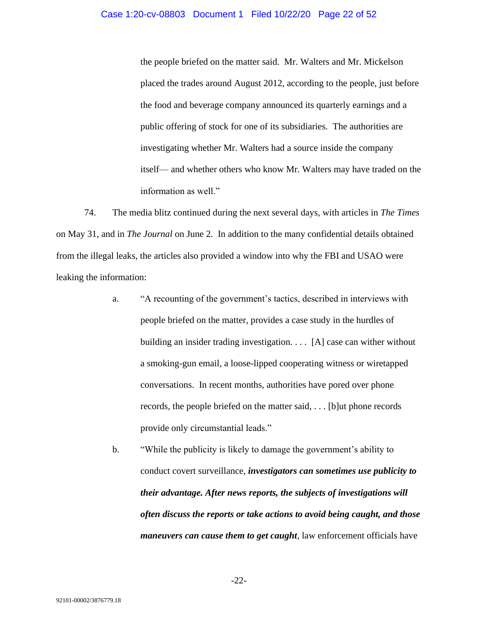#### Case 1:20-cv-08803 Document 1 Filed 10/22/20 Page 22 of 52

the people briefed on the matter said. Mr. Walters and Mr. Mickelson placed the trades around August 2012, according to the people, just before the food and beverage company announced its quarterly earnings and a public offering of stock for one of its subsidiaries. The authorities are investigating whether Mr. Walters had a source inside the company itself— and whether others who know Mr. Walters may have traded on the information as well."

74. The media blitz continued during the next several days, with articles in *The Times* on May 31, and in *The Journal* on June 2. In addition to the many confidential details obtained from the illegal leaks, the articles also provided a window into why the FBI and USAO were leaking the information:

- a. "A recounting of the government's tactics, described in interviews with people briefed on the matter, provides a case study in the hurdles of building an insider trading investigation. . . . [A] case can wither without a smoking-gun email, a loose-lipped cooperating witness or wiretapped conversations. In recent months, authorities have pored over phone records, the people briefed on the matter said, . . . [b]ut phone records provide only circumstantial leads."
- b. "While the publicity is likely to damage the government's ability to conduct covert surveillance, *investigators can sometimes use publicity to their advantage. After news reports, the subjects of investigations will often discuss the reports or take actions to avoid being caught, and those maneuvers can cause them to get caught*, law enforcement officials have

-22-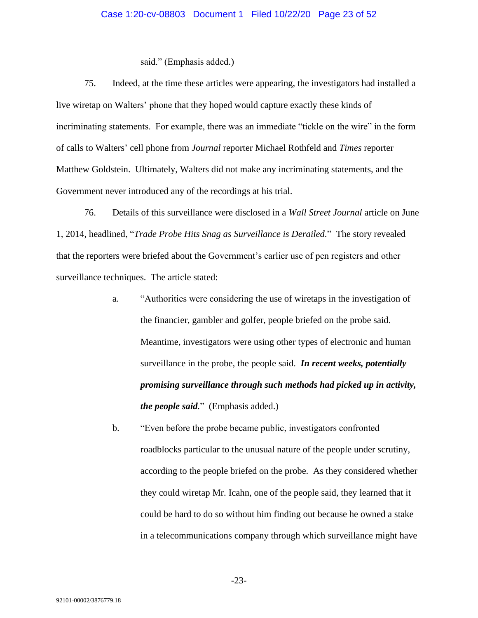# Case 1:20-cv-08803 Document 1 Filed 10/22/20 Page 23 of 52

#### said." (Emphasis added.)

75. Indeed, at the time these articles were appearing, the investigators had installed a live wiretap on Walters' phone that they hoped would capture exactly these kinds of incriminating statements. For example, there was an immediate "tickle on the wire" in the form of calls to Walters' cell phone from *Journal* reporter Michael Rothfeld and *Times* reporter Matthew Goldstein. Ultimately, Walters did not make any incriminating statements, and the Government never introduced any of the recordings at his trial.

76. Details of this surveillance were disclosed in a *Wall Street Journal* article on June 1, 2014, headlined, "*Trade Probe Hits Snag as Surveillance is Derailed.*" The story revealed that the reporters were briefed about the Government's earlier use of pen registers and other surveillance techniques. The article stated:

- a. "Authorities were considering the use of wiretaps in the investigation of the financier, gambler and golfer, people briefed on the probe said. Meantime, investigators were using other types of electronic and human surveillance in the probe, the people said. *In recent weeks, potentially promising surveillance through such methods had picked up in activity, the people said.*" (Emphasis added.)
- b. "Even before the probe became public, investigators confronted roadblocks particular to the unusual nature of the people under scrutiny, according to the people briefed on the probe. As they considered whether they could wiretap Mr. Icahn, one of the people said, they learned that it could be hard to do so without him finding out because he owned a stake in a telecommunications company through which surveillance might have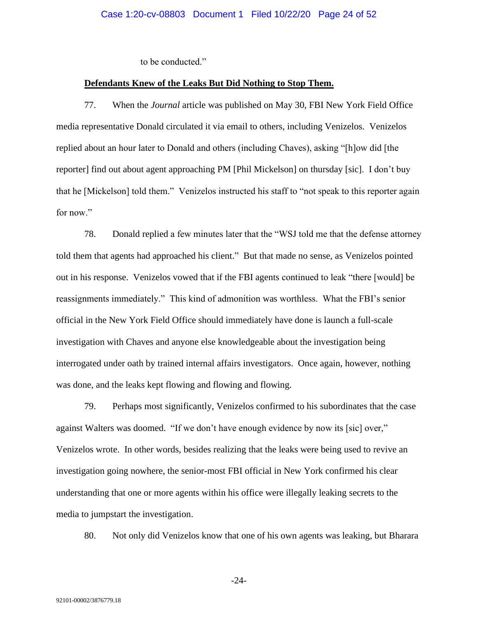to be conducted."

#### **Defendants Knew of the Leaks But Did Nothing to Stop Them.**

77. When the *Journal* article was published on May 30, FBI New York Field Office media representative Donald circulated it via email to others, including Venizelos. Venizelos replied about an hour later to Donald and others (including Chaves), asking "[h]ow did [the reporter] find out about agent approaching PM [Phil Mickelson] on thursday [sic]. I don't buy that he [Mickelson] told them." Venizelos instructed his staff to "not speak to this reporter again for now."

78. Donald replied a few minutes later that the "WSJ told me that the defense attorney told them that agents had approached his client." But that made no sense, as Venizelos pointed out in his response. Venizelos vowed that if the FBI agents continued to leak "there [would] be reassignments immediately." This kind of admonition was worthless. What the FBI's senior official in the New York Field Office should immediately have done is launch a full-scale investigation with Chaves and anyone else knowledgeable about the investigation being interrogated under oath by trained internal affairs investigators. Once again, however, nothing was done, and the leaks kept flowing and flowing and flowing.

79. Perhaps most significantly, Venizelos confirmed to his subordinates that the case against Walters was doomed. "If we don't have enough evidence by now its [sic] over," Venizelos wrote. In other words, besides realizing that the leaks were being used to revive an investigation going nowhere, the senior-most FBI official in New York confirmed his clear understanding that one or more agents within his office were illegally leaking secrets to the media to jumpstart the investigation.

80. Not only did Venizelos know that one of his own agents was leaking, but Bharara

-24-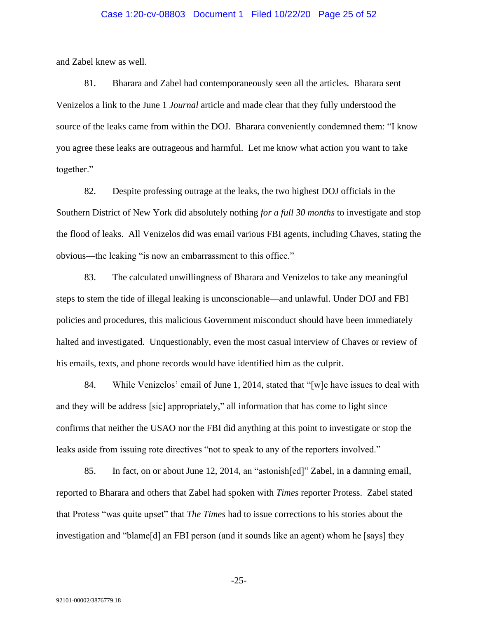# Case 1:20-cv-08803 Document 1 Filed 10/22/20 Page 25 of 52

and Zabel knew as well.

81. Bharara and Zabel had contemporaneously seen all the articles. Bharara sent Venizelos a link to the June 1 *Journal* article and made clear that they fully understood the source of the leaks came from within the DOJ. Bharara conveniently condemned them: "I know you agree these leaks are outrageous and harmful. Let me know what action you want to take together."

82. Despite professing outrage at the leaks, the two highest DOJ officials in the Southern District of New York did absolutely nothing *for a full 30 months* to investigate and stop the flood of leaks. All Venizelos did was email various FBI agents, including Chaves, stating the obvious—the leaking "is now an embarrassment to this office."

83. The calculated unwillingness of Bharara and Venizelos to take any meaningful steps to stem the tide of illegal leaking is unconscionable—and unlawful. Under DOJ and FBI policies and procedures, this malicious Government misconduct should have been immediately halted and investigated. Unquestionably, even the most casual interview of Chaves or review of his emails, texts, and phone records would have identified him as the culprit.

84. While Venizelos' email of June 1, 2014, stated that "[w]e have issues to deal with and they will be address [sic] appropriately," all information that has come to light since confirms that neither the USAO nor the FBI did anything at this point to investigate or stop the leaks aside from issuing rote directives "not to speak to any of the reporters involved."

85. In fact, on or about June 12, 2014, an "astonish[ed]" Zabel, in a damning email, reported to Bharara and others that Zabel had spoken with *Times* reporter Protess. Zabel stated that Protess "was quite upset" that *The Times* had to issue corrections to his stories about the investigation and "blame[d] an FBI person (and it sounds like an agent) whom he [says] they

-25-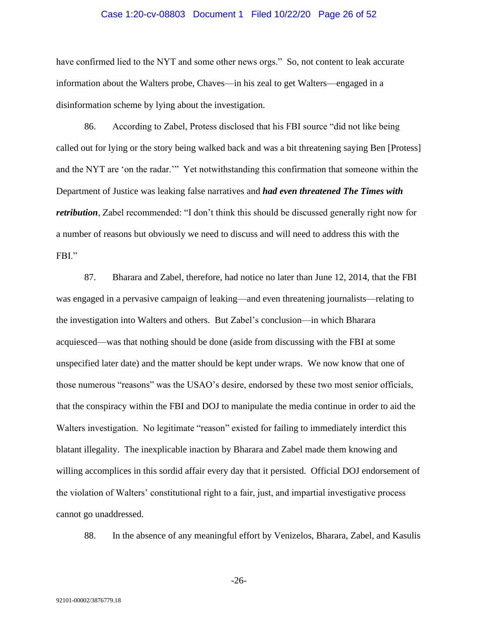#### Case 1:20-cv-08803 Document 1 Filed 10/22/20 Page 26 of 52

have confirmed lied to the NYT and some other news orgs." So, not content to leak accurate information about the Walters probe, Chaves—in his zeal to get Walters—engaged in a disinformation scheme by lying about the investigation.

86. According to Zabel, Protess disclosed that his FBI source "did not like being called out for lying or the story being walked back and was a bit threatening saying Ben [Protess] and the NYT are 'on the radar.'" Yet notwithstanding this confirmation that someone within the Department of Justice was leaking false narratives and *had even threatened The Times with retribution*, Zabel recommended: "I don't think this should be discussed generally right now for a number of reasons but obviously we need to discuss and will need to address this with the FBI."

87. Bharara and Zabel, therefore, had notice no later than June 12, 2014, that the FBI was engaged in a pervasive campaign of leaking—and even threatening journalists—relating to the investigation into Walters and others. But Zabel's conclusion—in which Bharara acquiesced—was that nothing should be done (aside from discussing with the FBI at some unspecified later date) and the matter should be kept under wraps. We now know that one of those numerous "reasons" was the USAO's desire, endorsed by these two most senior officials, that the conspiracy within the FBI and DOJ to manipulate the media continue in order to aid the Walters investigation. No legitimate "reason" existed for failing to immediately interdict this blatant illegality. The inexplicable inaction by Bharara and Zabel made them knowing and willing accomplices in this sordid affair every day that it persisted. Official DOJ endorsement of the violation of Walters' constitutional right to a fair, just, and impartial investigative process cannot go unaddressed.

88. In the absence of any meaningful effort by Venizelos, Bharara, Zabel, and Kasulis

-26-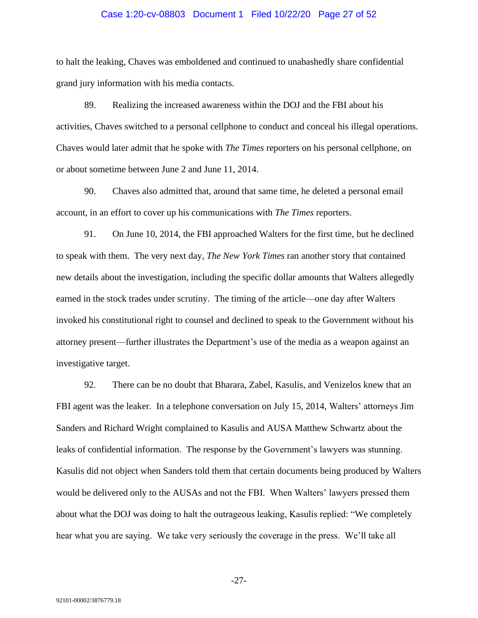#### Case 1:20-cv-08803 Document 1 Filed 10/22/20 Page 27 of 52

to halt the leaking, Chaves was emboldened and continued to unabashedly share confidential grand jury information with his media contacts.

89. Realizing the increased awareness within the DOJ and the FBI about his activities, Chaves switched to a personal cellphone to conduct and conceal his illegal operations. Chaves would later admit that he spoke with *The Times* reporters on his personal cellphone, on or about sometime between June 2 and June 11, 2014.

90. Chaves also admitted that, around that same time, he deleted a personal email account, in an effort to cover up his communications with *The Times* reporters.

91. On June 10, 2014, the FBI approached Walters for the first time, but he declined to speak with them. The very next day, *The New York Times* ran another story that contained new details about the investigation, including the specific dollar amounts that Walters allegedly earned in the stock trades under scrutiny. The timing of the article—one day after Walters invoked his constitutional right to counsel and declined to speak to the Government without his attorney present—further illustrates the Department's use of the media as a weapon against an investigative target.

92. There can be no doubt that Bharara, Zabel, Kasulis, and Venizelos knew that an FBI agent was the leaker. In a telephone conversation on July 15, 2014, Walters' attorneys Jim Sanders and Richard Wright complained to Kasulis and AUSA Matthew Schwartz about the leaks of confidential information. The response by the Government's lawyers was stunning. Kasulis did not object when Sanders told them that certain documents being produced by Walters would be delivered only to the AUSAs and not the FBI. When Walters' lawyers pressed them about what the DOJ was doing to halt the outrageous leaking, Kasulis replied: "We completely hear what you are saying. We take very seriously the coverage in the press. We'll take all

-27-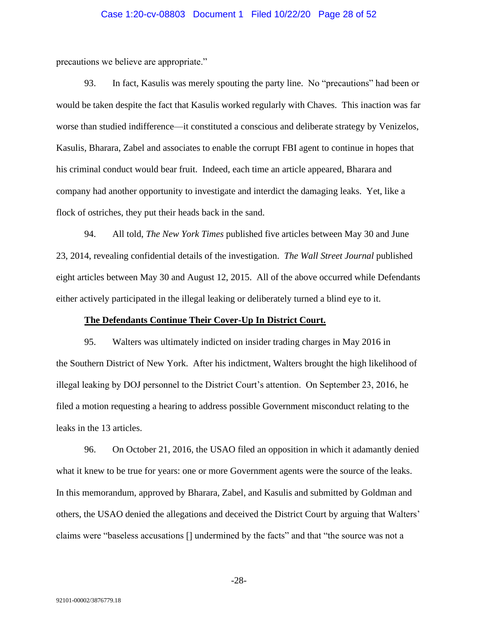## Case 1:20-cv-08803 Document 1 Filed 10/22/20 Page 28 of 52

precautions we believe are appropriate."

93. In fact, Kasulis was merely spouting the party line. No "precautions" had been or would be taken despite the fact that Kasulis worked regularly with Chaves. This inaction was far worse than studied indifference—it constituted a conscious and deliberate strategy by Venizelos, Kasulis, Bharara, Zabel and associates to enable the corrupt FBI agent to continue in hopes that his criminal conduct would bear fruit. Indeed, each time an article appeared, Bharara and company had another opportunity to investigate and interdict the damaging leaks. Yet, like a flock of ostriches, they put their heads back in the sand.

94. All told, *The New York Times* published five articles between May 30 and June 23, 2014, revealing confidential details of the investigation. *The Wall Street Journal* published eight articles between May 30 and August 12, 2015. All of the above occurred while Defendants either actively participated in the illegal leaking or deliberately turned a blind eye to it.

#### **The Defendants Continue Their Cover-Up In District Court.**

95. Walters was ultimately indicted on insider trading charges in May 2016 in the Southern District of New York. After his indictment, Walters brought the high likelihood of illegal leaking by DOJ personnel to the District Court's attention. On September 23, 2016, he filed a motion requesting a hearing to address possible Government misconduct relating to the leaks in the 13 articles.

96. On October 21, 2016, the USAO filed an opposition in which it adamantly denied what it knew to be true for years: one or more Government agents were the source of the leaks. In this memorandum, approved by Bharara, Zabel, and Kasulis and submitted by Goldman and others, the USAO denied the allegations and deceived the District Court by arguing that Walters' claims were "baseless accusations [] undermined by the facts" and that "the source was not a

-28-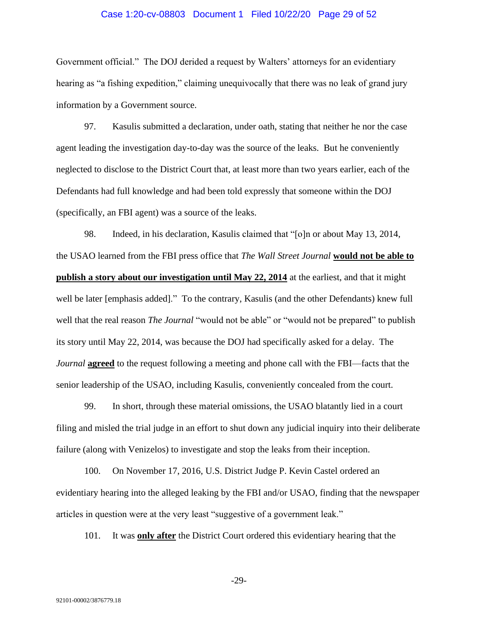#### Case 1:20-cv-08803 Document 1 Filed 10/22/20 Page 29 of 52

Government official." The DOJ derided a request by Walters' attorneys for an evidentiary hearing as "a fishing expedition," claiming unequivocally that there was no leak of grand jury information by a Government source.

97. Kasulis submitted a declaration, under oath, stating that neither he nor the case agent leading the investigation day-to-day was the source of the leaks. But he conveniently neglected to disclose to the District Court that, at least more than two years earlier, each of the Defendants had full knowledge and had been told expressly that someone within the DOJ (specifically, an FBI agent) was a source of the leaks.

98. Indeed, in his declaration, Kasulis claimed that "[o]n or about May 13, 2014, the USAO learned from the FBI press office that *The Wall Street Journal* **would not be able to publish a story about our investigation until May 22, 2014** at the earliest, and that it might well be later [emphasis added]." To the contrary, Kasulis (and the other Defendants) knew full well that the real reason *The Journal* "would not be able" or "would not be prepared" to publish its story until May 22, 2014, was because the DOJ had specifically asked for a delay. The *Journal* **agreed** to the request following a meeting and phone call with the FBI—facts that the senior leadership of the USAO, including Kasulis, conveniently concealed from the court.

99. In short, through these material omissions, the USAO blatantly lied in a court filing and misled the trial judge in an effort to shut down any judicial inquiry into their deliberate failure (along with Venizelos) to investigate and stop the leaks from their inception.

100. On November 17, 2016, U.S. District Judge P. Kevin Castel ordered an evidentiary hearing into the alleged leaking by the FBI and/or USAO, finding that the newspaper articles in question were at the very least "suggestive of a government leak."

101. It was **only after** the District Court ordered this evidentiary hearing that the

-29-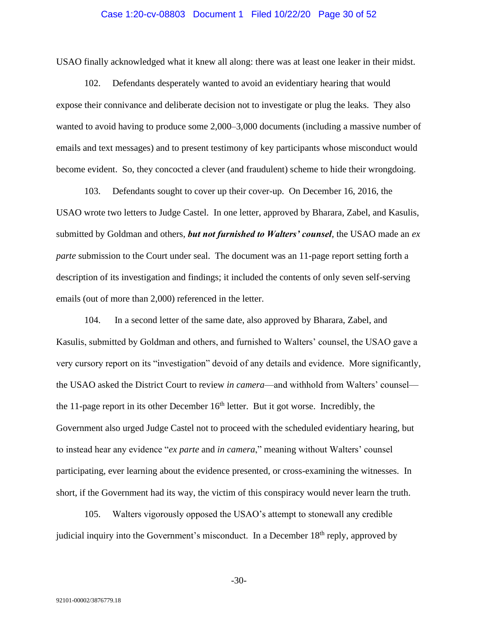#### Case 1:20-cv-08803 Document 1 Filed 10/22/20 Page 30 of 52

USAO finally acknowledged what it knew all along: there was at least one leaker in their midst.

102. Defendants desperately wanted to avoid an evidentiary hearing that would expose their connivance and deliberate decision not to investigate or plug the leaks. They also wanted to avoid having to produce some 2,000–3,000 documents (including a massive number of emails and text messages) and to present testimony of key participants whose misconduct would become evident. So, they concocted a clever (and fraudulent) scheme to hide their wrongdoing.

103. Defendants sought to cover up their cover-up. On December 16, 2016, the USAO wrote two letters to Judge Castel. In one letter, approved by Bharara, Zabel, and Kasulis, submitted by Goldman and others, *but not furnished to Walters' counsel*, the USAO made an *ex parte* submission to the Court under seal. The document was an 11-page report setting forth a description of its investigation and findings; it included the contents of only seven self-serving emails (out of more than 2,000) referenced in the letter.

104. In a second letter of the same date, also approved by Bharara, Zabel, and Kasulis, submitted by Goldman and others, and furnished to Walters' counsel, the USAO gave a very cursory report on its "investigation" devoid of any details and evidence. More significantly, the USAO asked the District Court to review *in camera*—and withhold from Walters' counsel the 11-page report in its other December  $16<sup>th</sup>$  letter. But it got worse. Incredibly, the Government also urged Judge Castel not to proceed with the scheduled evidentiary hearing, but to instead hear any evidence "*ex parte* and *in camera*," meaning without Walters' counsel participating, ever learning about the evidence presented, or cross-examining the witnesses. In short, if the Government had its way, the victim of this conspiracy would never learn the truth.

105. Walters vigorously opposed the USAO's attempt to stonewall any credible judicial inquiry into the Government's misconduct. In a December 18<sup>th</sup> reply, approved by

-30-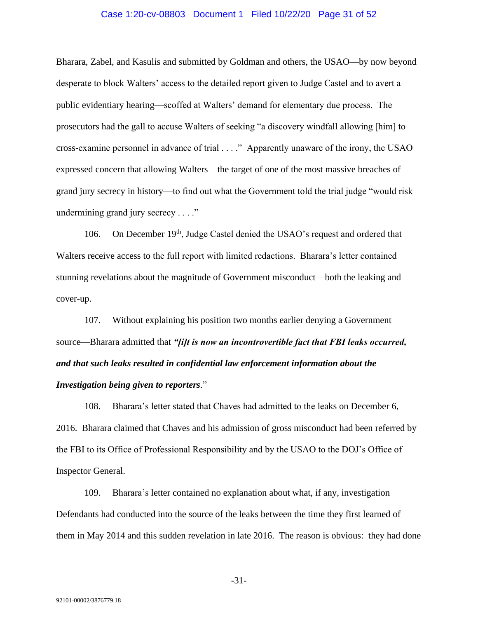#### Case 1:20-cv-08803 Document 1 Filed 10/22/20 Page 31 of 52

Bharara, Zabel, and Kasulis and submitted by Goldman and others, the USAO—by now beyond desperate to block Walters' access to the detailed report given to Judge Castel and to avert a public evidentiary hearing—scoffed at Walters' demand for elementary due process. The prosecutors had the gall to accuse Walters of seeking "a discovery windfall allowing [him] to cross-examine personnel in advance of trial . . . ." Apparently unaware of the irony, the USAO expressed concern that allowing Walters—the target of one of the most massive breaches of grand jury secrecy in history—to find out what the Government told the trial judge "would risk undermining grand jury secrecy . . . ."

106. On December 19<sup>th</sup>, Judge Castel denied the USAO's request and ordered that Walters receive access to the full report with limited redactions. Bharara's letter contained stunning revelations about the magnitude of Government misconduct—both the leaking and cover-up.

107. Without explaining his position two months earlier denying a Government source—Bharara admitted that *"[i]t is now an incontrovertible fact that FBI leaks occurred, and that such leaks resulted in confidential law enforcement information about the Investigation being given to reporters*."

108. Bharara's letter stated that Chaves had admitted to the leaks on December 6, 2016. Bharara claimed that Chaves and his admission of gross misconduct had been referred by the FBI to its Office of Professional Responsibility and by the USAO to the DOJ's Office of Inspector General.

109. Bharara's letter contained no explanation about what, if any, investigation Defendants had conducted into the source of the leaks between the time they first learned of them in May 2014 and this sudden revelation in late 2016. The reason is obvious: they had done

-31-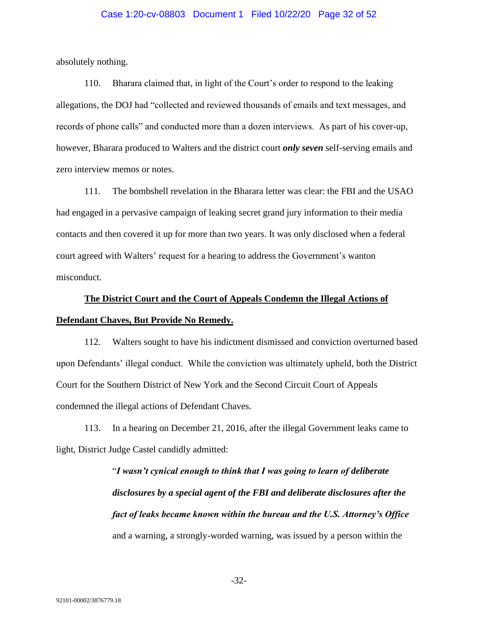# Case 1:20-cv-08803 Document 1 Filed 10/22/20 Page 32 of 52

absolutely nothing.

110. Bharara claimed that, in light of the Court's order to respond to the leaking allegations, the DOJ had "collected and reviewed thousands of emails and text messages, and records of phone calls" and conducted more than a dozen interviews. As part of his cover-up, however, Bharara produced to Walters and the district court *only seven* self-serving emails and zero interview memos or notes.

111. The bombshell revelation in the Bharara letter was clear: the FBI and the USAO had engaged in a pervasive campaign of leaking secret grand jury information to their media contacts and then covered it up for more than two years. It was only disclosed when a federal court agreed with Walters' request for a hearing to address the Government's wanton misconduct.

# **The District Court and the Court of Appeals Condemn the Illegal Actions of Defendant Chaves, But Provide No Remedy.**

112. Walters sought to have his indictment dismissed and conviction overturned based upon Defendants' illegal conduct. While the conviction was ultimately upheld, both the District Court for the Southern District of New York and the Second Circuit Court of Appeals condemned the illegal actions of Defendant Chaves.

113. In a hearing on December 21, 2016, after the illegal Government leaks came to light, District Judge Castel candidly admitted:

> "*I wasn't cynical enough to think that I was going to learn of deliberate disclosures by a special agent of the FBI and deliberate disclosures after the fact of leaks became known within the bureau and the U.S. Attorney's Office* and a warning, a strongly-worded warning, was issued by a person within the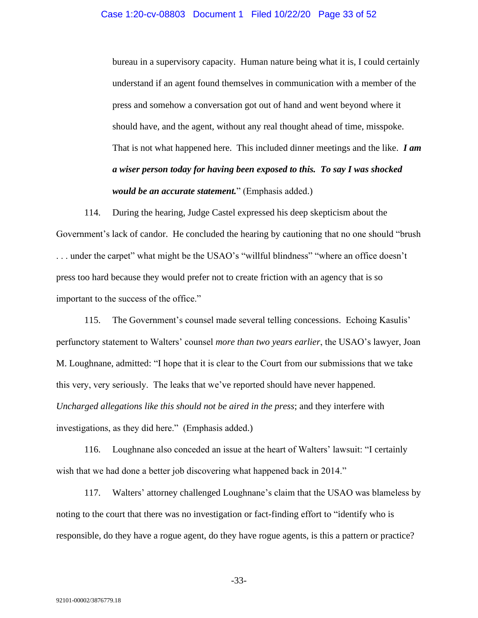#### Case 1:20-cv-08803 Document 1 Filed 10/22/20 Page 33 of 52

bureau in a supervisory capacity. Human nature being what it is, I could certainly understand if an agent found themselves in communication with a member of the press and somehow a conversation got out of hand and went beyond where it should have, and the agent, without any real thought ahead of time, misspoke. That is not what happened here. This included dinner meetings and the like. *I am a wiser person today for having been exposed to this. To say I was shocked would be an accurate statement.*" (Emphasis added.)

114. During the hearing, Judge Castel expressed his deep skepticism about the Government's lack of candor. He concluded the hearing by cautioning that no one should "brush . . . under the carpet" what might be the USAO's "willful blindness" "where an office doesn't press too hard because they would prefer not to create friction with an agency that is so important to the success of the office."

115. The Government's counsel made several telling concessions. Echoing Kasulis' perfunctory statement to Walters' counsel *more than two years earlier*, the USAO's lawyer, Joan M. Loughnane, admitted: "I hope that it is clear to the Court from our submissions that we take this very, very seriously. The leaks that we've reported should have never happened. *Uncharged allegations like this should not be aired in the press*; and they interfere with investigations, as they did here." (Emphasis added.)

116. Loughnane also conceded an issue at the heart of Walters' lawsuit: "I certainly wish that we had done a better job discovering what happened back in 2014."

117. Walters' attorney challenged Loughnane's claim that the USAO was blameless by noting to the court that there was no investigation or fact-finding effort to "identify who is responsible, do they have a rogue agent, do they have rogue agents, is this a pattern or practice?

-33-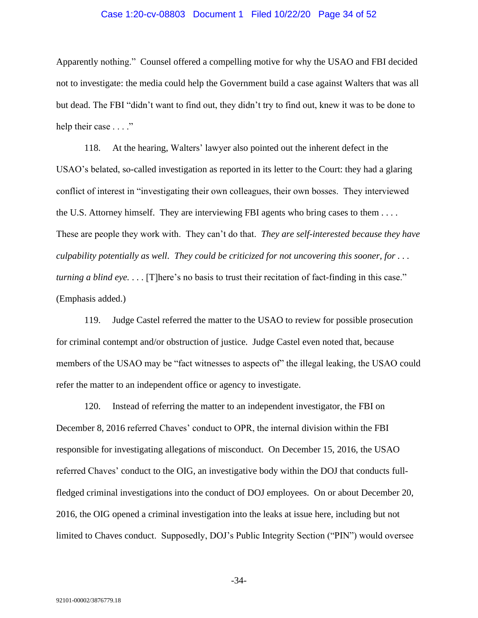#### Case 1:20-cv-08803 Document 1 Filed 10/22/20 Page 34 of 52

Apparently nothing." Counsel offered a compelling motive for why the USAO and FBI decided not to investigate: the media could help the Government build a case against Walters that was all but dead. The FBI "didn't want to find out, they didn't try to find out, knew it was to be done to help their case . . . ."

118. At the hearing, Walters' lawyer also pointed out the inherent defect in the USAO's belated, so-called investigation as reported in its letter to the Court: they had a glaring conflict of interest in "investigating their own colleagues, their own bosses. They interviewed the U.S. Attorney himself. They are interviewing FBI agents who bring cases to them . . . . These are people they work with. They can't do that. *They are self-interested because they have culpability potentially as well. They could be criticized for not uncovering this sooner, for . . . turning a blind eye.* . . . [T]here's no basis to trust their recitation of fact-finding in this case." (Emphasis added.)

119. Judge Castel referred the matter to the USAO to review for possible prosecution for criminal contempt and/or obstruction of justice. Judge Castel even noted that, because members of the USAO may be "fact witnesses to aspects of" the illegal leaking, the USAO could refer the matter to an independent office or agency to investigate.

120. Instead of referring the matter to an independent investigator, the FBI on December 8, 2016 referred Chaves' conduct to OPR, the internal division within the FBI responsible for investigating allegations of misconduct. On December 15, 2016, the USAO referred Chaves' conduct to the OIG, an investigative body within the DOJ that conducts fullfledged criminal investigations into the conduct of DOJ employees. On or about December 20, 2016, the OIG opened a criminal investigation into the leaks at issue here, including but not limited to Chaves conduct. Supposedly, DOJ's Public Integrity Section ("PIN") would oversee

-34-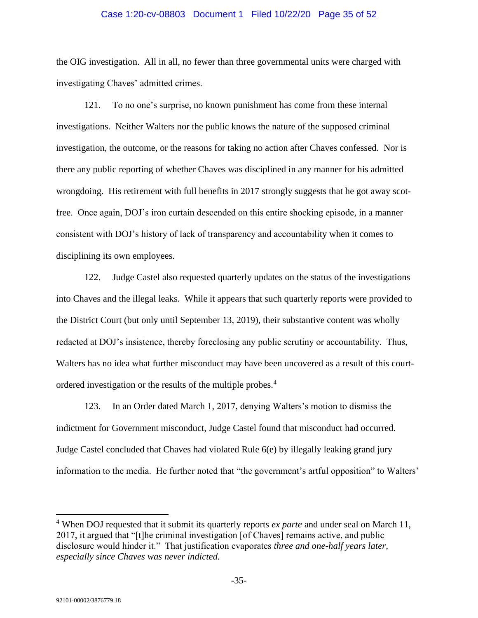#### Case 1:20-cv-08803 Document 1 Filed 10/22/20 Page 35 of 52

the OIG investigation. All in all, no fewer than three governmental units were charged with investigating Chaves' admitted crimes.

121. To no one's surprise, no known punishment has come from these internal investigations. Neither Walters nor the public knows the nature of the supposed criminal investigation, the outcome, or the reasons for taking no action after Chaves confessed. Nor is there any public reporting of whether Chaves was disciplined in any manner for his admitted wrongdoing. His retirement with full benefits in 2017 strongly suggests that he got away scotfree. Once again, DOJ's iron curtain descended on this entire shocking episode, in a manner consistent with DOJ's history of lack of transparency and accountability when it comes to disciplining its own employees.

122. Judge Castel also requested quarterly updates on the status of the investigations into Chaves and the illegal leaks. While it appears that such quarterly reports were provided to the District Court (but only until September 13, 2019), their substantive content was wholly redacted at DOJ's insistence, thereby foreclosing any public scrutiny or accountability. Thus, Walters has no idea what further misconduct may have been uncovered as a result of this courtordered investigation or the results of the multiple probes.<sup>4</sup>

123. In an Order dated March 1, 2017, denying Walters's motion to dismiss the indictment for Government misconduct, Judge Castel found that misconduct had occurred. Judge Castel concluded that Chaves had violated Rule 6(e) by illegally leaking grand jury information to the media. He further noted that "the government's artful opposition" to Walters'

<sup>4</sup> When DOJ requested that it submit its quarterly reports *ex parte* and under seal on March 11, 2017, it argued that "[t]he criminal investigation [of Chaves] remains active, and public disclosure would hinder it." That justification evaporates *three and one-half years later, especially since Chaves was never indicted.*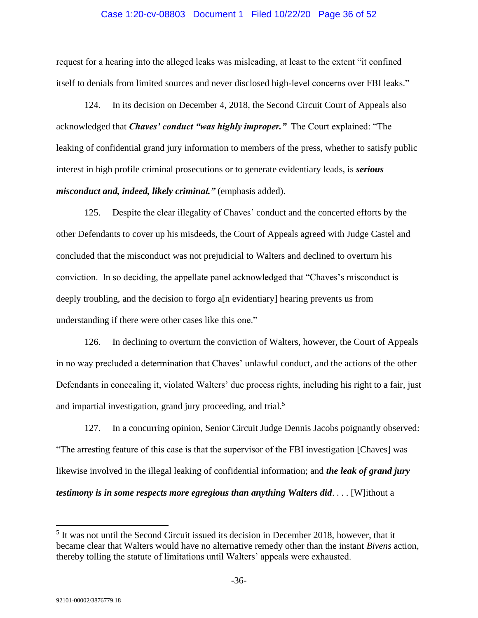#### Case 1:20-cv-08803 Document 1 Filed 10/22/20 Page 36 of 52

request for a hearing into the alleged leaks was misleading, at least to the extent "it confined itself to denials from limited sources and never disclosed high-level concerns over FBI leaks."

124. In its decision on December 4, 2018, the Second Circuit Court of Appeals also acknowledged that *Chaves' conduct "was highly improper."* The Court explained: "The leaking of confidential grand jury information to members of the press, whether to satisfy public interest in high profile criminal prosecutions or to generate evidentiary leads, is *serious misconduct and, indeed, likely criminal."* (emphasis added).

125. Despite the clear illegality of Chaves' conduct and the concerted efforts by the other Defendants to cover up his misdeeds, the Court of Appeals agreed with Judge Castel and concluded that the misconduct was not prejudicial to Walters and declined to overturn his conviction. In so deciding, the appellate panel acknowledged that "Chaves's misconduct is deeply troubling, and the decision to forgo a[n evidentiary] hearing prevents us from understanding if there were other cases like this one."

126. In declining to overturn the conviction of Walters, however, the Court of Appeals in no way precluded a determination that Chaves' unlawful conduct, and the actions of the other Defendants in concealing it, violated Walters' due process rights, including his right to a fair, just and impartial investigation, grand jury proceeding, and trial.<sup>5</sup>

127. In a concurring opinion, Senior Circuit Judge Dennis Jacobs poignantly observed: "The arresting feature of this case is that the supervisor of the FBI investigation [Chaves] was likewise involved in the illegal leaking of confidential information; and *the leak of grand jury testimony is in some respects more egregious than anything Walters did*. . . . [W]ithout a

<sup>&</sup>lt;sup>5</sup> It was not until the Second Circuit issued its decision in December 2018, however, that it became clear that Walters would have no alternative remedy other than the instant *Bivens* action, thereby tolling the statute of limitations until Walters' appeals were exhausted.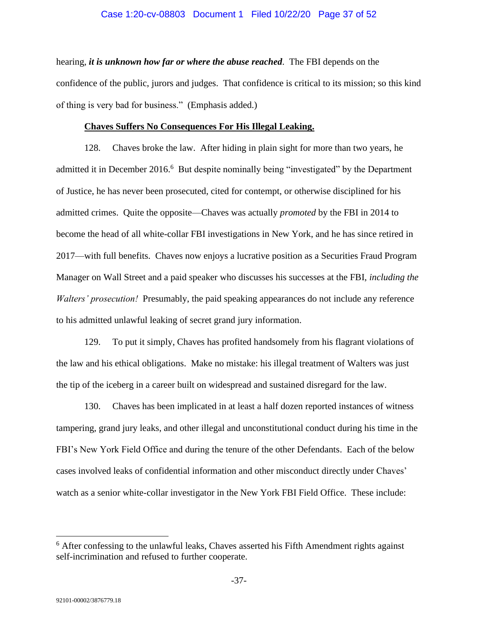## Case 1:20-cv-08803 Document 1 Filed 10/22/20 Page 37 of 52

hearing, *it is unknown how far or where the abuse reached*. The FBI depends on the confidence of the public, jurors and judges. That confidence is critical to its mission; so this kind of thing is very bad for business." (Emphasis added.)

#### **Chaves Suffers No Consequences For His Illegal Leaking.**

128. Chaves broke the law. After hiding in plain sight for more than two years, he admitted it in December 2016.<sup>6</sup> But despite nominally being "investigated" by the Department of Justice, he has never been prosecuted, cited for contempt, or otherwise disciplined for his admitted crimes. Quite the opposite—Chaves was actually *promoted* by the FBI in 2014 to become the head of all white-collar FBI investigations in New York, and he has since retired in 2017—with full benefits. Chaves now enjoys a lucrative position as a Securities Fraud Program Manager on Wall Street and a paid speaker who discusses his successes at the FBI, *including the Walters' prosecution!* Presumably, the paid speaking appearances do not include any reference to his admitted unlawful leaking of secret grand jury information.

129. To put it simply, Chaves has profited handsomely from his flagrant violations of the law and his ethical obligations. Make no mistake: his illegal treatment of Walters was just the tip of the iceberg in a career built on widespread and sustained disregard for the law.

130. Chaves has been implicated in at least a half dozen reported instances of witness tampering, grand jury leaks, and other illegal and unconstitutional conduct during his time in the FBI's New York Field Office and during the tenure of the other Defendants. Each of the below cases involved leaks of confidential information and other misconduct directly under Chaves' watch as a senior white-collar investigator in the New York FBI Field Office. These include:

 $6$  After confessing to the unlawful leaks, Chaves asserted his Fifth Amendment rights against self-incrimination and refused to further cooperate.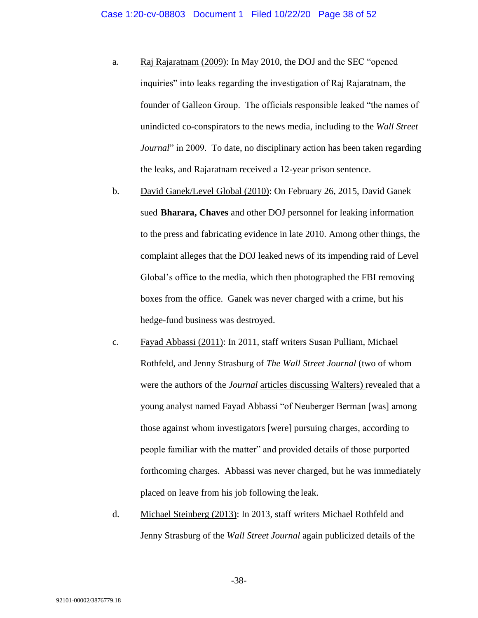- a. Raj Rajaratnam (2009): In May 2010, the DOJ and the SEC "opened inquiries" into leaks regarding the investigation of Raj Rajaratnam, the founder of Galleon Group. The officials responsible leaked "the names of unindicted co-conspirators to the news media, including to the *Wall Street Journal*" in 2009. To date, no disciplinary action has been taken regarding the leaks, and Rajaratnam received a 12-year prison sentence.
- b. David Ganek/Level Global (2010): On February 26, 2015, David Ganek sued **Bharara, Chaves** and other DOJ personnel for leaking information to the press and fabricating evidence in late 2010. Among other things, the complaint alleges that the DOJ leaked news of its impending raid of Level Global's office to the media, which then photographed the FBI removing boxes from the office. Ganek was never charged with a crime, but his hedge-fund business was destroyed.
- c. Fayad Abbassi (2011): In 2011, staff writers Susan Pulliam, Michael Rothfeld, and Jenny Strasburg of *The Wall Street Journal* (two of whom were the authors of the *Journal* articles discussing Walters) revealed that a young analyst named Fayad Abbassi "of Neuberger Berman [was] among those against whom investigators [were] pursuing charges, according to people familiar with the matter" and provided details of those purported forthcoming charges. Abbassi was never charged, but he was immediately placed on leave from his job following the leak.
- d. Michael Steinberg (2013): In 2013, staff writers Michael Rothfeld and Jenny Strasburg of the *Wall Street Journal* again publicized details of the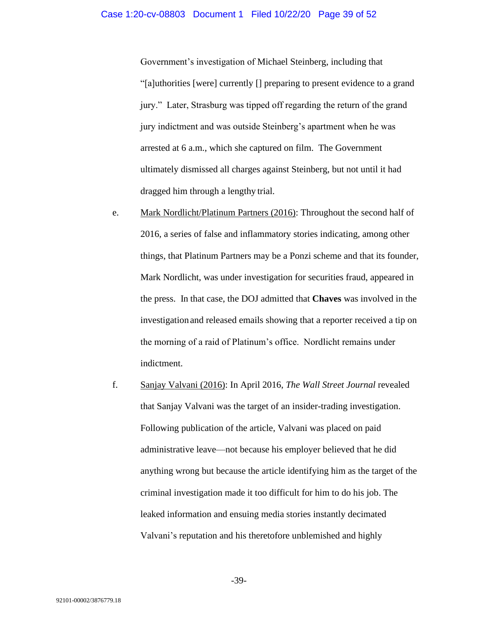Government's investigation of Michael Steinberg, including that "[a]uthorities [were] currently [] preparing to present evidence to a grand jury." Later, Strasburg was tipped off regarding the return of the grand jury indictment and was outside Steinberg's apartment when he was arrested at 6 a.m., which she captured on film. The Government ultimately dismissed all charges against Steinberg, but not until it had dragged him through a lengthy trial.

- e. Mark Nordlicht/Platinum Partners (2016): Throughout the second half of 2016, a series of false and inflammatory stories indicating, among other things, that Platinum Partners may be a Ponzi scheme and that its founder, Mark Nordlicht, was under investigation for securities fraud, appeared in the press. In that case, the DOJ admitted that **Chaves** was involved in the investigation and released emails showing that a reporter received a tip on the morning of a raid of Platinum's office. Nordlicht remains under indictment.
- f. Sanjay Valvani (2016): In April 2016, *The Wall Street Journal* revealed that Sanjay Valvani was the target of an insider-trading investigation. Following publication of the article, Valvani was placed on paid administrative leave—not because his employer believed that he did anything wrong but because the article identifying him as the target of the criminal investigation made it too difficult for him to do his job. The leaked information and ensuing media stories instantly decimated Valvani's reputation and his theretofore unblemished and highly

-39-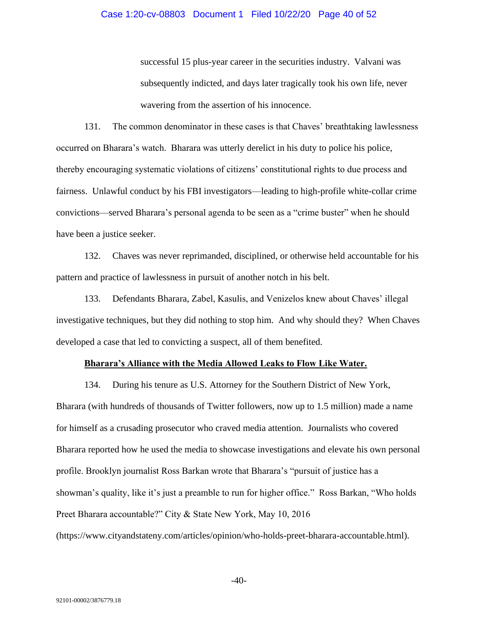## Case 1:20-cv-08803 Document 1 Filed 10/22/20 Page 40 of 52

successful 15 plus-year career in the securities industry. Valvani was subsequently indicted, and days later tragically took his own life, never wavering from the assertion of his innocence.

131. The common denominator in these cases is that Chaves' breathtaking lawlessness occurred on Bharara's watch. Bharara was utterly derelict in his duty to police his police, thereby encouraging systematic violations of citizens' constitutional rights to due process and fairness. Unlawful conduct by his FBI investigators—leading to high-profile white-collar crime convictions—served Bharara's personal agenda to be seen as a "crime buster" when he should have been a justice seeker.

132. Chaves was never reprimanded, disciplined, or otherwise held accountable for his pattern and practice of lawlessness in pursuit of another notch in his belt.

133. Defendants Bharara, Zabel, Kasulis, and Venizelos knew about Chaves' illegal investigative techniques, but they did nothing to stop him. And why should they? When Chaves developed a case that led to convicting a suspect, all of them benefited.

#### **Bharara's Alliance with the Media Allowed Leaks to Flow Like Water.**

134. During his tenure as U.S. Attorney for the Southern District of New York, Bharara (with hundreds of thousands of Twitter followers, now up to 1.5 million) made a name for himself as a crusading prosecutor who craved media attention. Journalists who covered Bharara reported how he used the media to showcase investigations and elevate his own personal profile. Brooklyn journalist Ross Barkan wrote that Bharara's "pursuit of justice has a showman's quality, like it's just a preamble to run for higher office." Ross Barkan, "Who holds Preet Bharara accountable?" City & State New York, May 10, 2016 (https://www.cityandstateny.com/articles/opinion/who-holds-preet-bharara-accountable.html).

-40-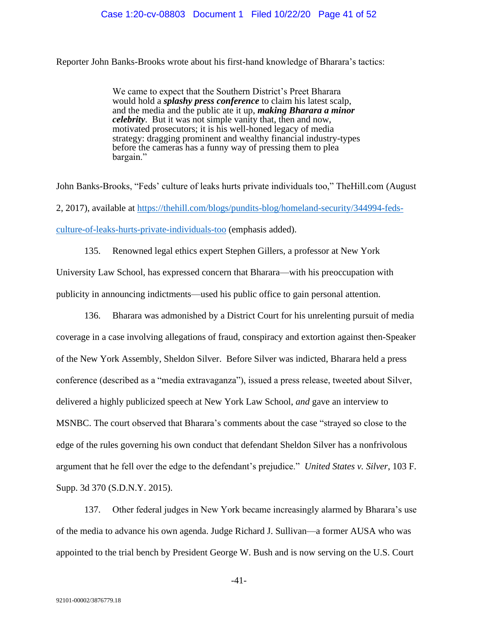Reporter John Banks-Brooks wrote about his first-hand knowledge of Bharara's tactics:

We came to expect that the Southern District's Preet Bharara would hold a *splashy press conference* to claim his latest scalp, and the media and the public ate it up, *making Bharara a minor celebrity*. But it was not simple vanity that, then and now, motivated prosecutors; it is his well-honed legacy of media strategy: dragging prominent and wealthy financial industry-types before the cameras has a funny way of pressing them to plea bargain."

John Banks-Brooks, "Feds' culture of leaks hurts private individuals too," TheHill.com (August 2, 2017), available at [https://thehill.com/blogs/pundits-blog/homeland-security/344994-feds](https://thehill.com/blogs/pundits-blog/homeland-security/344994-feds-culture-of-leaks-hurts-private-individuals-too)[culture-of-leaks-hurts-private-individuals-too](https://thehill.com/blogs/pundits-blog/homeland-security/344994-feds-culture-of-leaks-hurts-private-individuals-too) (emphasis added).

135. Renowned legal ethics expert Stephen Gillers, a professor at New York University Law School, has expressed concern that Bharara—with his preoccupation with publicity in announcing indictments—used his public office to gain personal attention.

136. Bharara was admonished by a District Court for his unrelenting pursuit of media coverage in a case involving allegations of fraud, conspiracy and extortion against then-Speaker of the New York Assembly, Sheldon Silver. Before Silver was indicted, Bharara held a press conference (described as a "media extravaganza"), issued a press release, tweeted about Silver, delivered a highly publicized speech at New York Law School, *and* gave an interview to MSNBC. The court observed that Bharara's comments about the case "strayed so close to the edge of the rules governing his own conduct that defendant Sheldon Silver has a nonfrivolous argument that he fell over the edge to the defendant's prejudice." *United States v. Silver*, 103 F. Supp. 3d 370 (S.D.N.Y. 2015).

137. Other federal judges in New York became increasingly alarmed by Bharara's use of the media to advance his own agenda. Judge Richard J. Sullivan—a former AUSA who was appointed to the trial bench by President George W. Bush and is now serving on the U.S. Court

-41-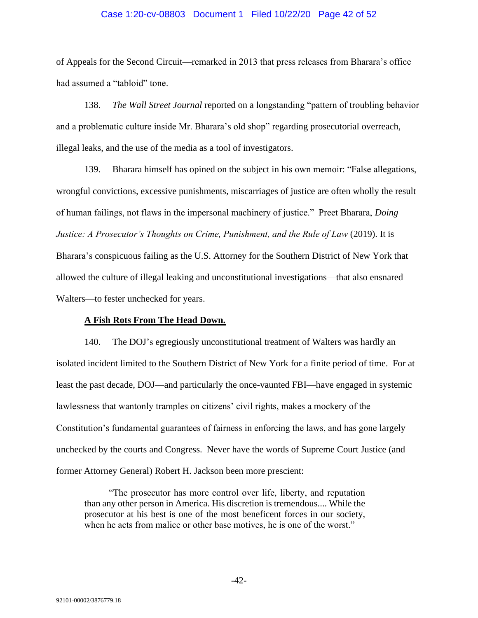## Case 1:20-cv-08803 Document 1 Filed 10/22/20 Page 42 of 52

of Appeals for the Second Circuit—remarked in 2013 that press releases from Bharara's office had assumed a "tabloid" tone.

138. *The Wall Street Journal* reported on a longstanding "pattern of troubling behavior and a problematic culture inside Mr. Bharara's old shop" regarding prosecutorial overreach, illegal leaks, and the use of the media as a tool of investigators.

139. Bharara himself has opined on the subject in his own memoir: "False allegations, wrongful convictions, excessive punishments, miscarriages of justice are often wholly the result of human failings, not flaws in the impersonal machinery of justice." Preet Bharara, *Doing Justice: A Prosecutor's Thoughts on Crime, Punishment, and the Rule of Law* (2019). It is Bharara's conspicuous failing as the U.S. Attorney for the Southern District of New York that allowed the culture of illegal leaking and unconstitutional investigations—that also ensnared Walters—to fester unchecked for years.

# **A Fish Rots From The Head Down.**

140. The DOJ's egregiously unconstitutional treatment of Walters was hardly an isolated incident limited to the Southern District of New York for a finite period of time. For at least the past decade, DOJ—and particularly the once-vaunted FBI—have engaged in systemic lawlessness that wantonly tramples on citizens' civil rights, makes a mockery of the Constitution's fundamental guarantees of fairness in enforcing the laws, and has gone largely unchecked by the courts and Congress. Never have the words of Supreme Court Justice (and former Attorney General) Robert H. Jackson been more prescient:

"The prosecutor has more control over life, liberty, and reputation than any other person in America. His discretion is tremendous.... While the prosecutor at his best is one of the most beneficent forces in our society, when he acts from malice or other base motives, he is one of the worst."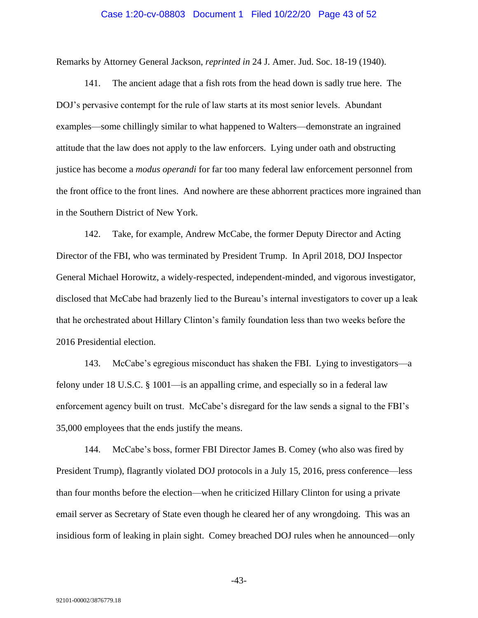#### Case 1:20-cv-08803 Document 1 Filed 10/22/20 Page 43 of 52

Remarks by Attorney General Jackson, *reprinted in* 24 J. Amer. Jud. Soc. 18-19 (1940).

141. The ancient adage that a fish rots from the head down is sadly true here. The DOJ's pervasive contempt for the rule of law starts at its most senior levels. Abundant examples—some chillingly similar to what happened to Walters—demonstrate an ingrained attitude that the law does not apply to the law enforcers. Lying under oath and obstructing justice has become a *modus operandi* for far too many federal law enforcement personnel from the front office to the front lines. And nowhere are these abhorrent practices more ingrained than in the Southern District of New York.

142. Take, for example, Andrew McCabe, the former Deputy Director and Acting Director of the FBI, who was terminated by President Trump. In April 2018, DOJ Inspector General Michael Horowitz, a widely-respected, independent-minded, and vigorous investigator, disclosed that McCabe had brazenly lied to the Bureau's internal investigators to cover up a leak that he orchestrated about Hillary Clinton's family foundation less than two weeks before the 2016 Presidential election.

143. McCabe's egregious misconduct has shaken the FBI. Lying to investigators—a felony under 18 U.S.C. § 1001—is an appalling crime, and especially so in a federal law enforcement agency built on trust. McCabe's disregard for the law sends a signal to the FBI's 35,000 employees that the ends justify the means.

144. McCabe's boss, former FBI Director James B. Comey (who also was fired by President Trump), flagrantly violated DOJ protocols in a July 15, 2016, press conference—less than four months before the election—when he criticized Hillary Clinton for using a private email server as Secretary of State even though he cleared her of any wrongdoing. This was an insidious form of leaking in plain sight. Comey breached DOJ rules when he announced—only

-43-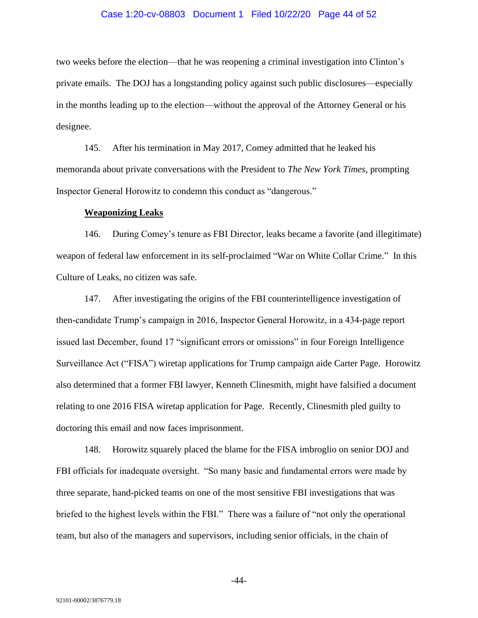#### Case 1:20-cv-08803 Document 1 Filed 10/22/20 Page 44 of 52

two weeks before the election—that he was reopening a criminal investigation into Clinton's private emails. The DOJ has a longstanding policy against such public disclosures—especially in the months leading up to the election—without the approval of the Attorney General or his designee.

145. After his termination in May 2017, Comey admitted that he leaked his memoranda about private conversations with the President to *The New York Times*, prompting Inspector General Horowitz to condemn this conduct as "dangerous."

#### **Weaponizing Leaks**

146. During Comey's tenure as FBI Director, leaks became a favorite (and illegitimate) weapon of federal law enforcement in its self-proclaimed "War on White Collar Crime." In this Culture of Leaks, no citizen was safe.

147. After investigating the origins of the FBI counterintelligence investigation of then-candidate Trump's campaign in 2016, Inspector General Horowitz, in a 434-page report issued last December, found 17 "significant errors or omissions" in four Foreign Intelligence Surveillance Act ("FISA") wiretap applications for Trump campaign aide Carter Page. Horowitz also determined that a former FBI lawyer, Kenneth Clinesmith, might have falsified a document relating to one 2016 FISA wiretap application for Page. Recently, Clinesmith pled guilty to doctoring this email and now faces imprisonment.

148. Horowitz squarely placed the blame for the FISA imbroglio on senior DOJ and FBI officials for inadequate oversight. "So many basic and fundamental errors were made by three separate, hand-picked teams on one of the most sensitive FBI investigations that was briefed to the highest levels within the FBI." There was a failure of "not only the operational team, but also of the managers and supervisors, including senior officials, in the chain of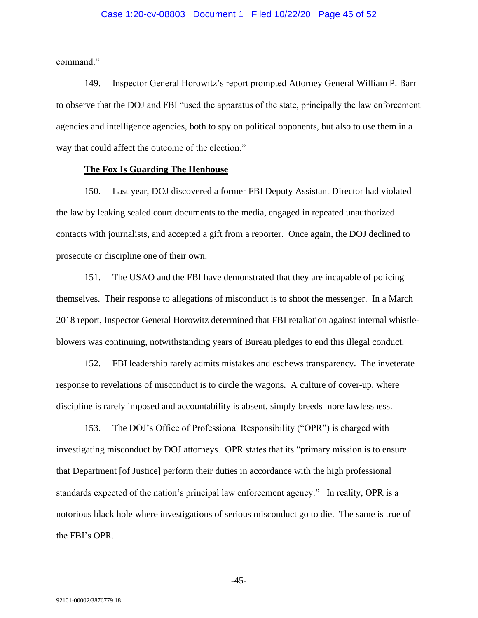#### Case 1:20-cv-08803 Document 1 Filed 10/22/20 Page 45 of 52

command."

149. Inspector General Horowitz's report prompted Attorney General William P. Barr to observe that the DOJ and FBI "used the apparatus of the state, principally the law enforcement agencies and intelligence agencies, both to spy on political opponents, but also to use them in a way that could affect the outcome of the election."

#### **The Fox Is Guarding The Henhouse**

150. Last year, DOJ discovered a former FBI Deputy Assistant Director had violated the law by leaking sealed court documents to the media, engaged in repeated unauthorized contacts with journalists, and accepted a gift from a reporter. Once again, the DOJ declined to prosecute or discipline one of their own.

151. The USAO and the FBI have demonstrated that they are incapable of policing themselves. Their response to allegations of misconduct is to shoot the messenger. In a March 2018 report, Inspector General Horowitz determined that FBI retaliation against internal whistleblowers was continuing, notwithstanding years of Bureau pledges to end this illegal conduct.

152. FBI leadership rarely admits mistakes and eschews transparency. The inveterate response to revelations of misconduct is to circle the wagons. A culture of cover-up, where discipline is rarely imposed and accountability is absent, simply breeds more lawlessness.

153. The DOJ's Office of Professional Responsibility ("OPR") is charged with investigating misconduct by DOJ attorneys. OPR states that its "primary mission is to ensure that Department [of Justice] perform their duties in accordance with the high professional standards expected of the nation's principal law enforcement agency." In reality, OPR is a notorious black hole where investigations of serious misconduct go to die. The same is true of the FBI's OPR.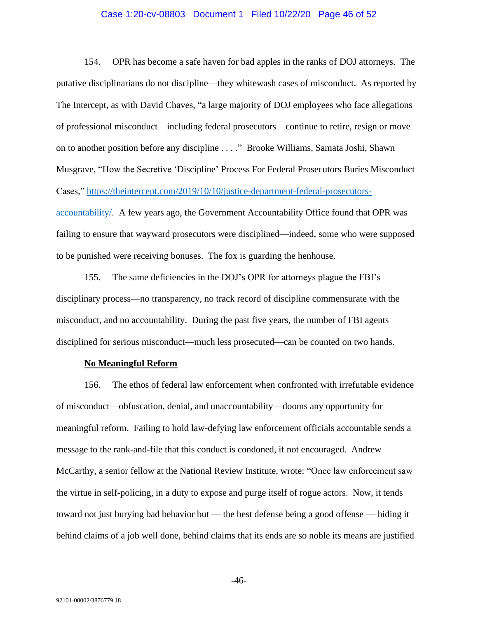## Case 1:20-cv-08803 Document 1 Filed 10/22/20 Page 46 of 52

154. OPR has become a safe haven for bad apples in the ranks of DOJ attorneys. The putative disciplinarians do not discipline—they whitewash cases of misconduct. As reported by The Intercept, as with David Chaves, "a large majority of DOJ employees who face allegations of professional misconduct—including federal prosecutors—continue to retire, resign or move on to another position before any discipline . . . ." Brooke Williams, Samata Joshi, Shawn Musgrave, "How the Secretive 'Discipline' Process For Federal Prosecutors Buries Misconduct Cases," [https://theintercept.com/2019/10/10/justice-department-federal-prosecutors](https://theintercept.com/2019/10/10/justice-department-federal-prosecutors-accountability/)[accountability/.](https://theintercept.com/2019/10/10/justice-department-federal-prosecutors-accountability/) A few years ago, the Government Accountability Office found that OPR was failing to ensure that wayward prosecutors were disciplined—indeed, some who were supposed to be punished were receiving bonuses. The fox is guarding the henhouse.

155. The same deficiencies in the DOJ's OPR for attorneys plague the FBI's disciplinary process—no transparency, no track record of discipline commensurate with the misconduct, and no accountability. During the past five years, the number of FBI agents disciplined for serious misconduct—much less prosecuted—can be counted on two hands.

# **No Meaningful Reform**

156. The ethos of federal law enforcement when confronted with irrefutable evidence of misconduct—obfuscation, denial, and unaccountability—dooms any opportunity for meaningful reform. Failing to hold law-defying law enforcement officials accountable sends a message to the rank-and-file that this conduct is condoned, if not encouraged. Andrew McCarthy, a senior fellow at the National Review Institute, wrote: "Once law enforcement saw the virtue in self-policing, in a duty to expose and purge itself of rogue actors. Now, it tends toward not just burying bad behavior but — the best defense being a good offense — hiding it behind claims of a job well done, behind claims that its ends are so noble its means are justified

-46-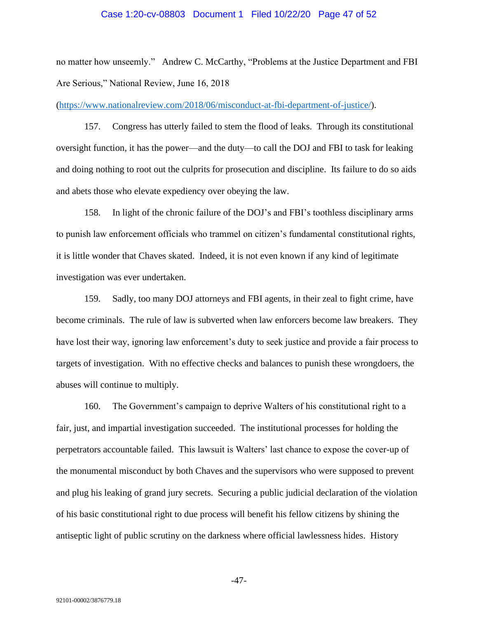#### Case 1:20-cv-08803 Document 1 Filed 10/22/20 Page 47 of 52

no matter how unseemly." Andrew C. McCarthy, "Problems at the Justice Department and FBI Are Serious," National Review, June 16, 2018

[\(https://www.nationalreview.com/2018/06/misconduct-at-fbi-department-of-justice/\)](https://www.nationalreview.com/2018/06/misconduct-at-fbi-department-of-justice/).

157. Congress has utterly failed to stem the flood of leaks. Through its constitutional oversight function, it has the power—and the duty—to call the DOJ and FBI to task for leaking and doing nothing to root out the culprits for prosecution and discipline. Its failure to do so aids and abets those who elevate expediency over obeying the law.

158. In light of the chronic failure of the DOJ's and FBI's toothless disciplinary arms to punish law enforcement officials who trammel on citizen's fundamental constitutional rights, it is little wonder that Chaves skated. Indeed, it is not even known if any kind of legitimate investigation was ever undertaken.

159. Sadly, too many DOJ attorneys and FBI agents, in their zeal to fight crime, have become criminals. The rule of law is subverted when law enforcers become law breakers. They have lost their way, ignoring law enforcement's duty to seek justice and provide a fair process to targets of investigation. With no effective checks and balances to punish these wrongdoers, the abuses will continue to multiply.

160. The Government's campaign to deprive Walters of his constitutional right to a fair, just, and impartial investigation succeeded. The institutional processes for holding the perpetrators accountable failed. This lawsuit is Walters' last chance to expose the cover-up of the monumental misconduct by both Chaves and the supervisors who were supposed to prevent and plug his leaking of grand jury secrets. Securing a public judicial declaration of the violation of his basic constitutional right to due process will benefit his fellow citizens by shining the antiseptic light of public scrutiny on the darkness where official lawlessness hides. History

-47-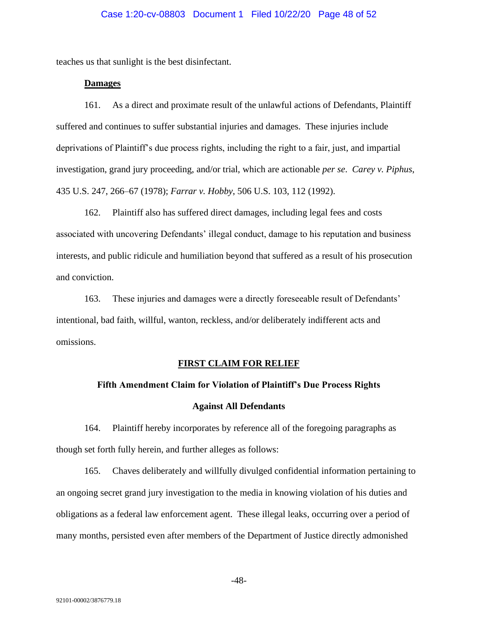## Case 1:20-cv-08803 Document 1 Filed 10/22/20 Page 48 of 52

teaches us that sunlight is the best disinfectant.

# **Damages**

161. As a direct and proximate result of the unlawful actions of Defendants, Plaintiff suffered and continues to suffer substantial injuries and damages. These injuries include deprivations of Plaintiff's due process rights, including the right to a fair, just, and impartial investigation, grand jury proceeding, and/or trial, which are actionable *per se*. *Carey v. Piphus*, 435 U.S. 247, 266–67 (1978); *Farrar v. Hobby*, 506 U.S. 103, 112 (1992).

162. Plaintiff also has suffered direct damages, including legal fees and costs associated with uncovering Defendants' illegal conduct, damage to his reputation and business interests, and public ridicule and humiliation beyond that suffered as a result of his prosecution and conviction.

163. These injuries and damages were a directly foreseeable result of Defendants' intentional, bad faith, willful, wanton, reckless, and/or deliberately indifferent acts and omissions.

#### **FIRST CLAIM FOR RELIEF**

# **Fifth Amendment Claim for Violation of Plaintiff's Due Process Rights**

#### **Against All Defendants**

164. Plaintiff hereby incorporates by reference all of the foregoing paragraphs as though set forth fully herein, and further alleges as follows:

165. Chaves deliberately and willfully divulged confidential information pertaining to an ongoing secret grand jury investigation to the media in knowing violation of his duties and obligations as a federal law enforcement agent. These illegal leaks, occurring over a period of many months, persisted even after members of the Department of Justice directly admonished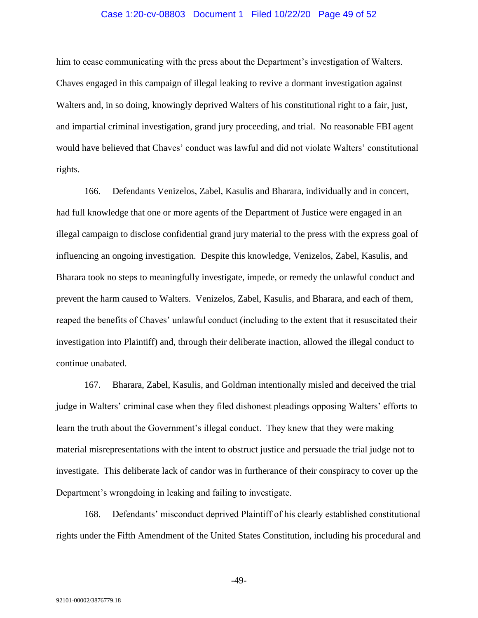## Case 1:20-cv-08803 Document 1 Filed 10/22/20 Page 49 of 52

him to cease communicating with the press about the Department's investigation of Walters. Chaves engaged in this campaign of illegal leaking to revive a dormant investigation against Walters and, in so doing, knowingly deprived Walters of his constitutional right to a fair, just, and impartial criminal investigation, grand jury proceeding, and trial. No reasonable FBI agent would have believed that Chaves' conduct was lawful and did not violate Walters' constitutional rights.

166. Defendants Venizelos, Zabel, Kasulis and Bharara, individually and in concert, had full knowledge that one or more agents of the Department of Justice were engaged in an illegal campaign to disclose confidential grand jury material to the press with the express goal of influencing an ongoing investigation. Despite this knowledge, Venizelos, Zabel, Kasulis, and Bharara took no steps to meaningfully investigate, impede, or remedy the unlawful conduct and prevent the harm caused to Walters. Venizelos, Zabel, Kasulis, and Bharara, and each of them, reaped the benefits of Chaves' unlawful conduct (including to the extent that it resuscitated their investigation into Plaintiff) and, through their deliberate inaction, allowed the illegal conduct to continue unabated.

167. Bharara, Zabel, Kasulis, and Goldman intentionally misled and deceived the trial judge in Walters' criminal case when they filed dishonest pleadings opposing Walters' efforts to learn the truth about the Government's illegal conduct. They knew that they were making material misrepresentations with the intent to obstruct justice and persuade the trial judge not to investigate. This deliberate lack of candor was in furtherance of their conspiracy to cover up the Department's wrongdoing in leaking and failing to investigate.

168. Defendants' misconduct deprived Plaintiff of his clearly established constitutional rights under the Fifth Amendment of the United States Constitution, including his procedural and

-49-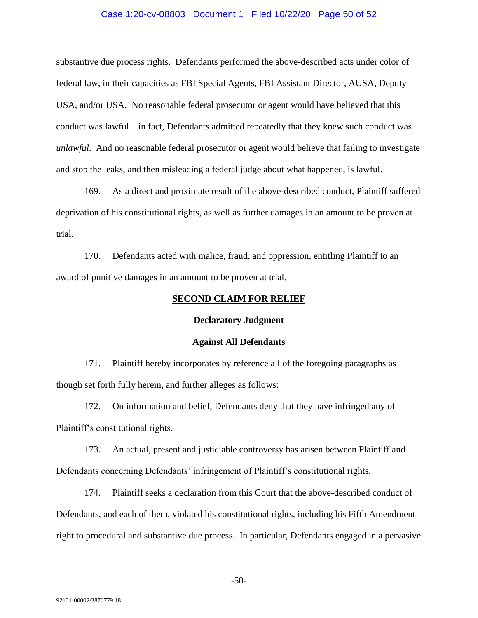#### Case 1:20-cv-08803 Document 1 Filed 10/22/20 Page 50 of 52

substantive due process rights. Defendants performed the above-described acts under color of federal law, in their capacities as FBI Special Agents, FBI Assistant Director, AUSA, Deputy USA, and/or USA. No reasonable federal prosecutor or agent would have believed that this conduct was lawful—in fact, Defendants admitted repeatedly that they knew such conduct was *unlawful*. And no reasonable federal prosecutor or agent would believe that failing to investigate and stop the leaks, and then misleading a federal judge about what happened, is lawful.

169. As a direct and proximate result of the above-described conduct, Plaintiff suffered deprivation of his constitutional rights, as well as further damages in an amount to be proven at trial.

170. Defendants acted with malice, fraud, and oppression, entitling Plaintiff to an award of punitive damages in an amount to be proven at trial.

#### **SECOND CLAIM FOR RELIEF**

#### **Declaratory Judgment**

#### **Against All Defendants**

171. Plaintiff hereby incorporates by reference all of the foregoing paragraphs as though set forth fully herein, and further alleges as follows:

172. On information and belief, Defendants deny that they have infringed any of Plaintiff's constitutional rights.

173. An actual, present and justiciable controversy has arisen between Plaintiff and Defendants concerning Defendants' infringement of Plaintiff's constitutional rights.

174. Plaintiff seeks a declaration from this Court that the above-described conduct of Defendants, and each of them, violated his constitutional rights, including his Fifth Amendment right to procedural and substantive due process. In particular, Defendants engaged in a pervasive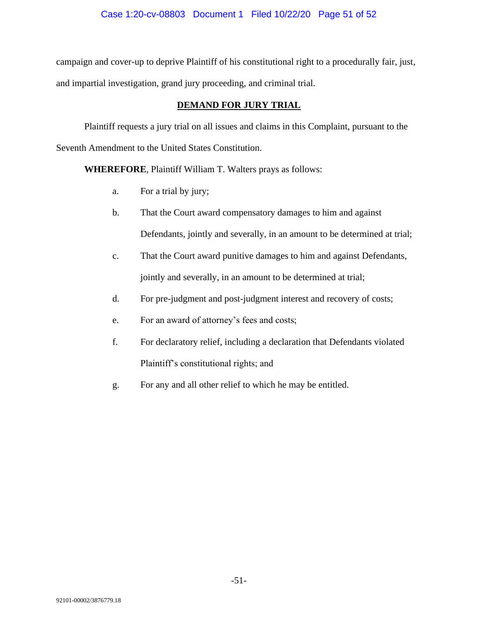campaign and cover-up to deprive Plaintiff of his constitutional right to a procedurally fair, just, and impartial investigation, grand jury proceeding, and criminal trial.

# **DEMAND FOR JURY TRIAL**

Plaintiff requests a jury trial on all issues and claims in this Complaint, pursuant to the Seventh Amendment to the United States Constitution.

**WHEREFORE**, Plaintiff William T. Walters prays as follows:

- a. For a trial by jury;
- b. That the Court award compensatory damages to him and against Defendants, jointly and severally, in an amount to be determined at trial;
- c. That the Court award punitive damages to him and against Defendants, jointly and severally, in an amount to be determined at trial;
- d. For pre-judgment and post-judgment interest and recovery of costs;
- e. For an award of attorney's fees and costs;
- f. For declaratory relief, including a declaration that Defendants violated Plaintiff's constitutional rights; and
- g. For any and all other relief to which he may be entitled.